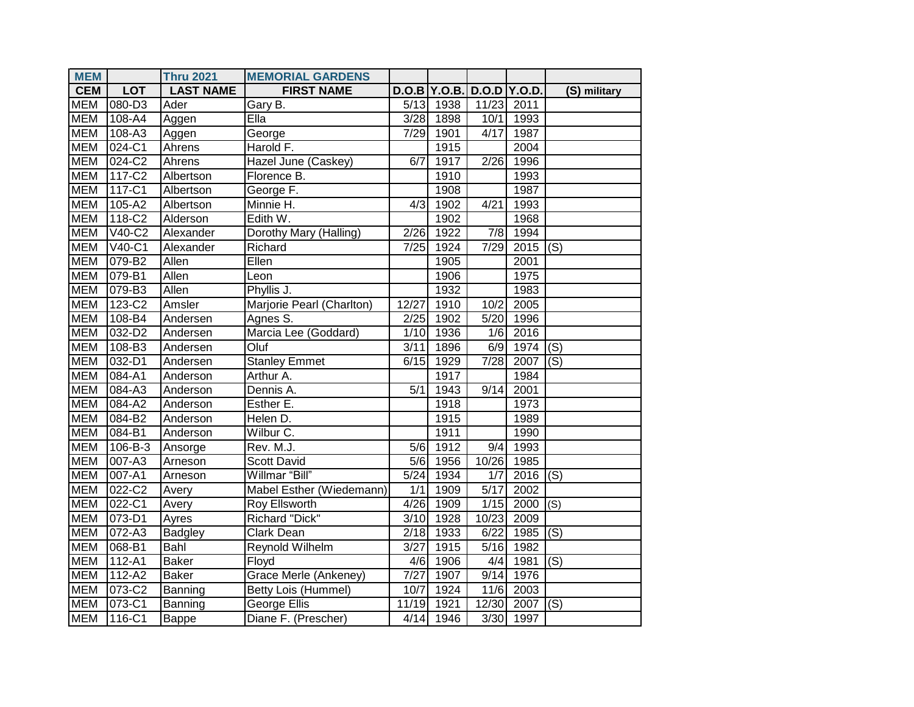| <b>MEM</b> |            | <b>Thru 2021</b> | <b>MEMORIAL GARDENS</b>   |                   |                |                   |      |                           |
|------------|------------|------------------|---------------------------|-------------------|----------------|-------------------|------|---------------------------|
| <b>CEM</b> | <b>LOT</b> | <b>LAST NAME</b> | <b>FIRST NAME</b>         |                   | $D.O.B$ Y.O.B. | $D.O.D$ Y.O.D.    |      | (S) military              |
| <b>MEM</b> | 080-D3     | Ader             | Gary B.                   | 5/13              | 1938           | 11/23             | 2011 |                           |
| <b>MEM</b> | 108-A4     | Aggen            | $E$ lla                   | 3/28              | 1898           | 10/1              | 1993 |                           |
| <b>MEM</b> | 108-A3     | Aggen            | George                    | 7/29              | 1901           | 4/17              | 1987 |                           |
| <b>MEM</b> | 024-C1     | Ahrens           | Harold F.                 |                   | 1915           |                   | 2004 |                           |
| <b>MEM</b> | 024-C2     | Ahrens           | Hazel June (Caskey)       | 6/7               | 1917           | 2/26              | 1996 |                           |
| <b>MEM</b> | 117-C2     | Albertson        | Florence B.               |                   | 1910           |                   | 1993 |                           |
| <b>MEM</b> | 117-C1     | Albertson        | George F.                 |                   | 1908           |                   | 1987 |                           |
| <b>MEM</b> | 105-A2     | Albertson        | Minnie H.                 | 4/3               | 1902           | 4/21              | 1993 |                           |
| <b>MEM</b> | 118-C2     | Alderson         | Edith W.                  |                   | 1902           |                   | 1968 |                           |
| <b>MEM</b> | $V40-C2$   | Alexander        | Dorothy Mary (Halling)    | 2/26              | 1922           | 7/8               | 1994 |                           |
| <b>MEM</b> | V40-C1     | Alexander        | Richard                   | 7/25              | 1924           | 7/29              | 2015 | (S)                       |
| <b>MEM</b> | 079-B2     | Allen            | Ellen                     |                   | 1905           |                   | 2001 |                           |
| <b>MEM</b> | 079-B1     | Allen            | Leon                      |                   | 1906           |                   | 1975 |                           |
| <b>MEM</b> | 079-B3     | Allen            | Phyllis J.                |                   | 1932           |                   | 1983 |                           |
| <b>MEM</b> | 123-C2     | Amsler           | Marjorie Pearl (Charlton) | 12/27             | 1910           | 10/2              | 2005 |                           |
| <b>MEM</b> | 108-B4     | Andersen         | Agnes S.                  | 2/25              | 1902           | 5/20              | 1996 |                           |
| <b>MEM</b> | 032-D2     | Andersen         | Marcia Lee (Goddard)      | 1/10              | 1936           | $\overline{1/6}$  | 2016 |                           |
| <b>MEM</b> | 108-B3     | Andersen         | Oluf                      | 3/11              | 1896           | 6/9               | 1974 | (S)                       |
| <b>MEM</b> | $032 - D1$ | Andersen         | <b>Stanley Emmet</b>      | 6/15              | 1929           | $\overline{7/28}$ | 2007 | (S)                       |
| <b>MEM</b> | 084-A1     | Anderson         | Arthur A.                 |                   | 1917           |                   | 1984 |                           |
| <b>MEM</b> | 084-A3     | Anderson         | Dennis A.                 | 5/1               | 1943           | 9/14              | 2001 |                           |
| <b>MEM</b> | 084-A2     | Anderson         | Esther E.                 |                   | 1918           |                   | 1973 |                           |
| <b>MEM</b> | $084 - B2$ | Anderson         | Helen D.                  |                   | 1915           |                   | 1989 |                           |
| <b>MEM</b> | 084-B1     | Anderson         | Wilbur $\overline{C}$ .   |                   | 1911           |                   | 1990 |                           |
| <b>MEM</b> | 106-B-3    | Ansorge          | Rev. M.J.                 | 5/6               | 1912           | 9/4               | 1993 |                           |
| <b>MEM</b> | 007-A3     | Arneson          | <b>Scott David</b>        | 5/6               | 1956           | 10/26             | 1985 |                           |
| <b>MEM</b> | 007-A1     | Arneson          | Willmar "Bill"            | 5/24              | 1934           | 1/7               | 2016 | $\overline{(\mathsf{S})}$ |
| <b>MEM</b> | 022-C2     | Avery            | Mabel Esther (Wiedemann)  | 1/1               | 1909           | $\overline{5/17}$ | 2002 |                           |
| <b>MEM</b> | 022-C1     | Avery            | Roy Ellsworth             | 4/26              | 1909           | 1/15              | 2000 | (S)                       |
| <b>MEM</b> | 073-D1     | Ayres            | Richard "Dick"            | $\overline{3}/10$ | 1928           | 10/23             | 2009 |                           |
| <b>MEM</b> | 072-A3     | Badgley          | <b>Clark Dean</b>         | 2/18              | 1933           | 6/22              | 1985 | (S)                       |
| <b>MEM</b> | 068-B1     | Bahl             | Reynold Wilhelm           | 3/27              | 1915           | 5/16              | 1982 |                           |
| <b>MEM</b> | 112-A1     | <b>Baker</b>     | Floyd                     | 4/6               | 1906           | 4/4               | 1981 | (S)                       |
| <b>MEM</b> | 112-A2     | <b>Baker</b>     | Grace Merle (Ankeney)     | 7/27              | 1907           | 9/14              | 1976 |                           |
| <b>MEM</b> | $073 - C2$ | Banning          | Betty Lois (Hummel)       | 10/7              | 1924           | 11/6              | 2003 |                           |
| <b>MEM</b> | 073-C1     | Banning          | George Ellis              | 11/19             | 1921           | 12/30             | 2007 | (S)                       |
| <b>MEM</b> | 116-C1     | Bappe            | Diane F. (Prescher)       | $\overline{4}/14$ | 1946           | 3/30              | 1997 |                           |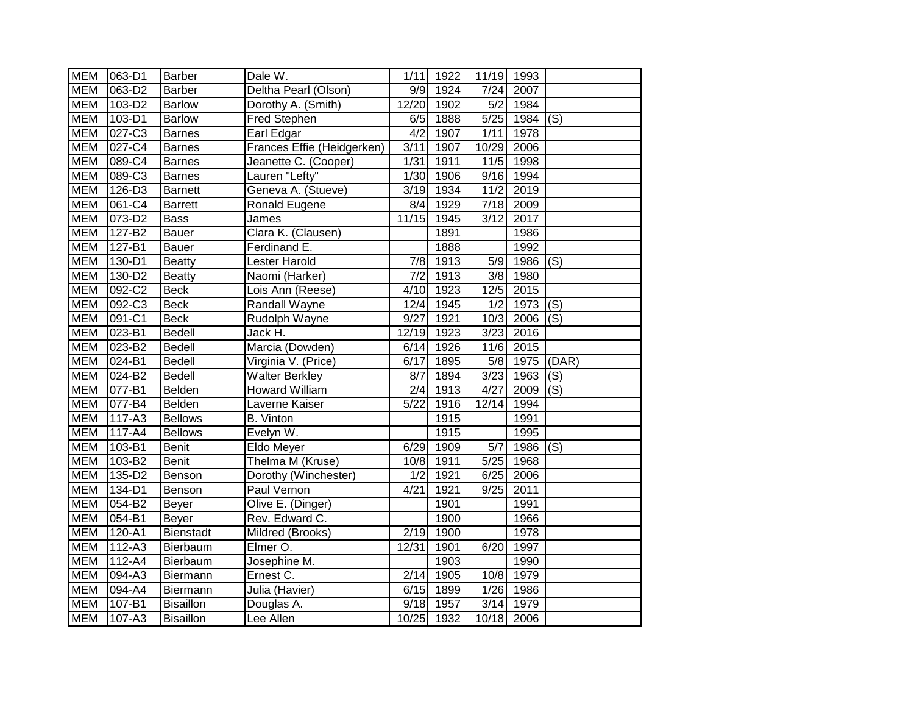| <b>MEM</b> | 063-D1               | Barber           | Dale W.                    | 1/11              | 1922 |                  | 11/19 1993 |                           |
|------------|----------------------|------------------|----------------------------|-------------------|------|------------------|------------|---------------------------|
| <b>MEM</b> | $063 - D2$           | <b>Barber</b>    | Deltha Pearl (Olson)       | 9/9               | 1924 | 7/24             | 2007       |                           |
| <b>MEM</b> | 103-D2               | <b>Barlow</b>    | Dorothy A. (Smith)         | 12/20             | 1902 | 5/2              | 1984       |                           |
| <b>MEM</b> | 103-D1               | <b>Barlow</b>    | Fred Stephen               | 6/5               | 1888 | 5/25             | 1984       | (S)                       |
| <b>MEM</b> | 027-C3               | <b>Barnes</b>    | Earl Edgar                 | 4/2               | 1907 | 1/11             | 1978       |                           |
| <b>MEM</b> | 027-C4               | <b>Barnes</b>    | Frances Effie (Heidgerken) | 3/11              | 1907 | 10/29            | 2006       |                           |
| <b>MEM</b> | 089-C4               | <b>Barnes</b>    | Jeanette C. (Cooper)       | 1/31              | 1911 | 11/5             | 1998       |                           |
| <b>MEM</b> | 089-C3               | <b>Barnes</b>    | Lauren "Lefty"             | $\overline{1}/30$ | 1906 | 9/16             | 1994       |                           |
| <b>MEM</b> | $126-D3$             | <b>Barnett</b>   | Geneva A. (Stueve)         | 3/19              | 1934 | 11/2             | 2019       |                           |
| <b>MEM</b> | 061-C4               | <b>Barrett</b>   | Ronald Eugene              | 8/4               | 1929 | $\sqrt{7/18}$    | 2009       |                           |
| <b>MEM</b> | 073-D2               | <b>Bass</b>      | James                      | 11/15             | 1945 | 3/12             | 2017       |                           |
| <b>MEM</b> | 127-B2               | <b>Bauer</b>     | Clara K. (Clausen)         |                   | 1891 |                  | 1986       |                           |
| <b>MEM</b> | 127-B1               | Bauer            | Ferdinand E.               |                   | 1888 |                  | 1992       |                           |
| <b>MEM</b> | $130 -\overline{D1}$ | <b>Beatty</b>    | Lester Harold              | 7/8               | 1913 | 5/9              | 1986       | (S)                       |
| <b>MEM</b> | $130 - D2$           | <b>Beatty</b>    | Naomi (Harker)             | 7/2               | 1913 | 3/8              | 1980       |                           |
| <b>MEM</b> | 092-C2               | <b>Beck</b>      | Lois Ann (Reese)           | 4/10              | 1923 | 12/5             | 2015       |                           |
| <b>MEM</b> | 092-C3               | <b>Beck</b>      | <b>Randall Wayne</b>       | 12/4              | 1945 | $\overline{1/2}$ | 1973       | (S)                       |
| <b>MEM</b> | 091-C1               | <b>Beck</b>      | Rudolph Wayne              | 9/27              | 1921 | 10/3             | 2006       | (S)                       |
| <b>MEM</b> | 023-B1               | Bedell           | Jack H.                    | 12/19             | 1923 | 3/23             | 2016       |                           |
| <b>MEM</b> | 023-B2               | <b>Bedell</b>    | Marcia (Dowden)            | 6/14              | 1926 | 11/6             | 2015       |                           |
| <b>MEM</b> | 024-B1               | Bedell           | Virginia V. (Price)        | 6/17              | 1895 | 5/8              | 1975       | (DAR)                     |
| <b>MEM</b> | 024-B2               | Bedell           | <b>Walter Berkley</b>      | 8/7               | 1894 | 3/23             | 1963       | $\overline{(\mathsf{S})}$ |
| <b>MEM</b> | 077-B1               | Belden           | <b>Howard William</b>      | 2/4               | 1913 | 4/27             | 2009       | (S)                       |
| <b>MEM</b> | 077-B4               | Belden           | Laverne Kaiser             | 5/22              | 1916 | 12/14            | 1994       |                           |
| <b>MEM</b> | $117 - A3$           | <b>Bellows</b>   | <b>B.</b> Vinton           |                   | 1915 |                  | 1991       |                           |
| <b>MEM</b> | $117 - A4$           | <b>Bellows</b>   | Evelyn W.                  |                   | 1915 |                  | 1995       |                           |
| <b>MEM</b> | 103-B1               | <b>Benit</b>     | Eldo Meyer                 | 6/29              | 1909 | 5/7              | 1986       | $\overline{(\mathsf{S})}$ |
| <b>MEM</b> | 103-B2               | <b>Benit</b>     | Thelma M (Kruse)           | 10/8              | 1911 | 5/25             | 1968       |                           |
| <b>MEM</b> | 135-D2               | Benson           | Dorothy (Winchester)       | 1/2               | 1921 | 6/25             | 2006       |                           |
| <b>MEM</b> | 134-D1               | Benson           | Paul Vernon                | 4/21              | 1921 | 9/25             | 2011       |                           |
| <b>MEM</b> | 054-B2               | Beyer            | Olive E. (Dinger)          |                   | 1901 |                  | 1991       |                           |
| <b>MEM</b> | 054-B1               | Beyer            | Rev. Edward C.             |                   | 1900 |                  | 1966       |                           |
| <b>MEM</b> | $120 - A1$           | <b>Bienstadt</b> | Mildred (Brooks)           | 2/19              | 1900 |                  | 1978       |                           |
| <b>MEM</b> | 112-A3               | Bierbaum         | Elmer O.                   | 12/31             | 1901 | 6/20             | 1997       |                           |
| <b>MEM</b> | 112-A4               | Bierbaum         | Josephine M.               |                   | 1903 |                  | 1990       |                           |
| <b>MEM</b> | 094-A3               | Biermann         | Ernest C.                  | 2/14              | 1905 | 10/8             | 1979       |                           |
| <b>MEM</b> | 094-A4               | Biermann         | Julia (Havier)             | 6/15              | 1899 | 1/26             | 1986       |                           |
| <b>MEM</b> | 107-B1               | <b>Bisaillon</b> | Douglas A.                 | 9/18              | 1957 | 3/14             | 1979       |                           |
| <b>MEM</b> | 107-A3               | <b>Bisaillon</b> | Lee Allen                  | 10/25             | 1932 |                  | 10/18 2006 |                           |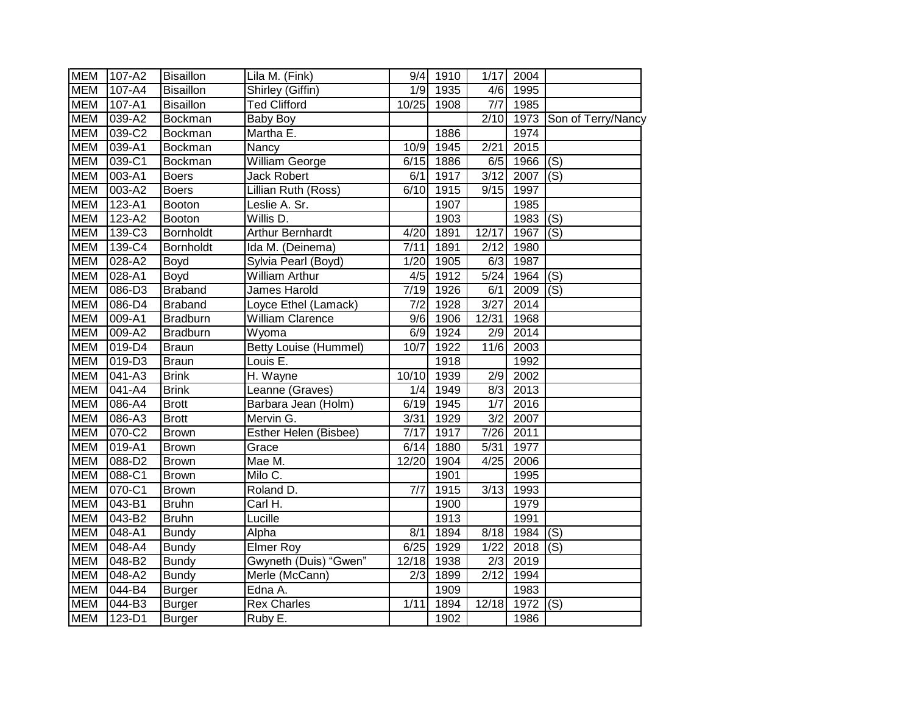| <b>MEM</b> | 107-A2              | <b>Bisaillon</b> | Lila M. (Fink)               |                  | 9/4 1910 | 1/17              | 2004              |                    |
|------------|---------------------|------------------|------------------------------|------------------|----------|-------------------|-------------------|--------------------|
| <b>MEM</b> | 107-A4              | <b>Bisaillon</b> | Shirley (Giffin)             | 1/9              | 1935     | 4/6               | 1995              |                    |
| <b>MEM</b> | $107 - A1$          | <b>Bisaillon</b> | <b>Ted Clifford</b>          | $10/25$          | 1908     | 7/7               | 1985              |                    |
| <b>MEM</b> | 039-A2              | Bockman          | <b>Baby Boy</b>              |                  |          | $\overline{2/10}$ | 1973              | Son of Terry/Nancy |
| <b>MEM</b> | 039-C2              | <b>Bockman</b>   | Martha E.                    |                  | 1886     |                   | 1974              |                    |
| <b>MEM</b> | 039-A1              | Bockman          | Nancy                        | 10/9             | 1945     | 2/21              | 2015              |                    |
| <b>MEM</b> | 039-C1              | Bockman          | <b>William George</b>        | 6/15             | 1886     | 6/5               | 1966              | (S)                |
| <b>MEM</b> | $003 - A1$          | <b>Boers</b>     | <b>Jack Robert</b>           | 6/1              | 1917     | 3/12              | 2007              | (S)                |
| <b>MEM</b> | 003-A2              | <b>Boers</b>     | Lillian Ruth (Ross)          | 6/10             | 1915     | 9/15              | 1997              |                    |
| <b>MEM</b> | 123-A1              | Booton           | Leslie A. Sr.                |                  | 1907     |                   | 1985              |                    |
| <b>MEM</b> | 123-A2              | Booton           | Willis D.                    |                  | 1903     |                   | 1983              | (S)                |
| <b>MEM</b> | 139-C3              | Bornholdt        | <b>Arthur Bernhardt</b>      | 4/20             | 1891     | 12/17             | 1967              | (S)                |
| <b>MEM</b> | 139-C4              | Bornholdt        | Ida M. (Deinema)             | 7/11             | 1891     | 2/12              | 1980              |                    |
| <b>MEM</b> | 028-A2              | Boyd             | Sylvia Pearl (Boyd)          | 1/20             | 1905     | 6/3               | 1987              |                    |
| <b>MEM</b> | 028-A1              | Boyd             | William Arthur               | 4/5              | 1912     | 5/24              | 1964              | (S)                |
| <b>MEM</b> | 086-D3              | <b>Braband</b>   | James Harold                 | 7/19             | 1926     | 6/1               | 2009              | (S)                |
| <b>MEM</b> | $086 - D4$          | <b>Braband</b>   | Loyce Ethel (Lamack)         | 7/2              | 1928     | 3/27              | 2014              |                    |
| <b>MEM</b> | 009-A1              | <b>Bradburn</b>  | <b>William Clarence</b>      | 9/6              | 1906     | 12/31             | 1968              |                    |
| <b>MEM</b> | 009-A2              | <b>Bradburn</b>  | Wyoma                        | 6/9              | 1924     | 2/9               | 2014              |                    |
| <b>MEM</b> | 019-D4              | <b>Braun</b>     | <b>Betty Louise (Hummel)</b> | 10/7             | 1922     | 11/6              | 2003              |                    |
| <b>MEM</b> | 019-D3              | <b>Braun</b>     | Louis E.                     |                  | 1918     |                   | 1992              |                    |
| <b>MEM</b> | 041-A3              | <b>Brink</b>     | H. Wayne                     | 10/10            | 1939     | 2/9               | 2002              |                    |
| <b>MEM</b> | 041-A4              | <b>Brink</b>     | Leanne (Graves)              | 1/4              | 1949     | 8/3               | 2013              |                    |
| <b>MEM</b> | 086-A4              | <b>Brott</b>     | Barbara Jean (Holm)          | 6/19             | 1945     | $\overline{1/7}$  | 2016              |                    |
| <b>MEM</b> | 086-A3              | <b>Brott</b>     | Mervin G.                    | 3/31             | 1929     | 3/2               | 2007              |                    |
| <b>MEM</b> | 070-C2              | <b>Brown</b>     | Esther Helen (Bisbee)        | 7/17             | 1917     | 7/26              | $\overline{20}11$ |                    |
| <b>MEM</b> | 019-A1              | <b>Brown</b>     | Grace                        | 6/14             | 1880     | 5/31              | 1977              |                    |
| <b>MEM</b> | 088-D2              | <b>Brown</b>     | Mae M.                       | 12/20            | 1904     | 4/25              | 2006              |                    |
| <b>MEM</b> | 088-C1              | <b>Brown</b>     | Milo C.                      |                  | 1901     |                   | 1995              |                    |
| <b>MEM</b> | 070-C1              | <b>Brown</b>     | Roland D.                    | $\overline{7/7}$ | 1915     | 3/13              | 1993              |                    |
| <b>MEM</b> | $\overline{043-B1}$ | <b>Bruhn</b>     | Carl H.                      |                  | 1900     |                   | 1979              |                    |
| <b>MEM</b> | 043-B2              | <b>Bruhn</b>     | Lucille                      |                  | 1913     |                   | 1991              |                    |
| <b>MEM</b> | 048-A1              | <b>Bundy</b>     | Alpha                        | 8/1              | 1894     | 8/18              | 1984              | $\overline{(S)}$   |
| <b>MEM</b> | 048-A4              | <b>Bundy</b>     | Elmer Roy                    | 6/25             | 1929     | 1/22              | 2018              | (S)                |
| <b>MEM</b> | 048-B2              | <b>Bundy</b>     | Gwyneth (Duis) "Gwen"        | 12/18            | 1938     | 2/3               | 2019              |                    |
| <b>MEM</b> | $048 - A2$          | <b>Bundy</b>     | Merle (McCann)               | 2/3              | 1899     | 2/12              | 1994              |                    |
| <b>MEM</b> | 044-B4              | <b>Burger</b>    | Edna A.                      |                  | 1909     |                   | 1983              |                    |
| <b>MEM</b> | 044-B3              | <b>Burger</b>    | <b>Rex Charles</b>           | 1/11             | 1894     | 12/18             | 1972              | (S)                |
| <b>MEM</b> | 123-D1              | <b>Burger</b>    | Ruby E.                      |                  | 1902     |                   | 1986              |                    |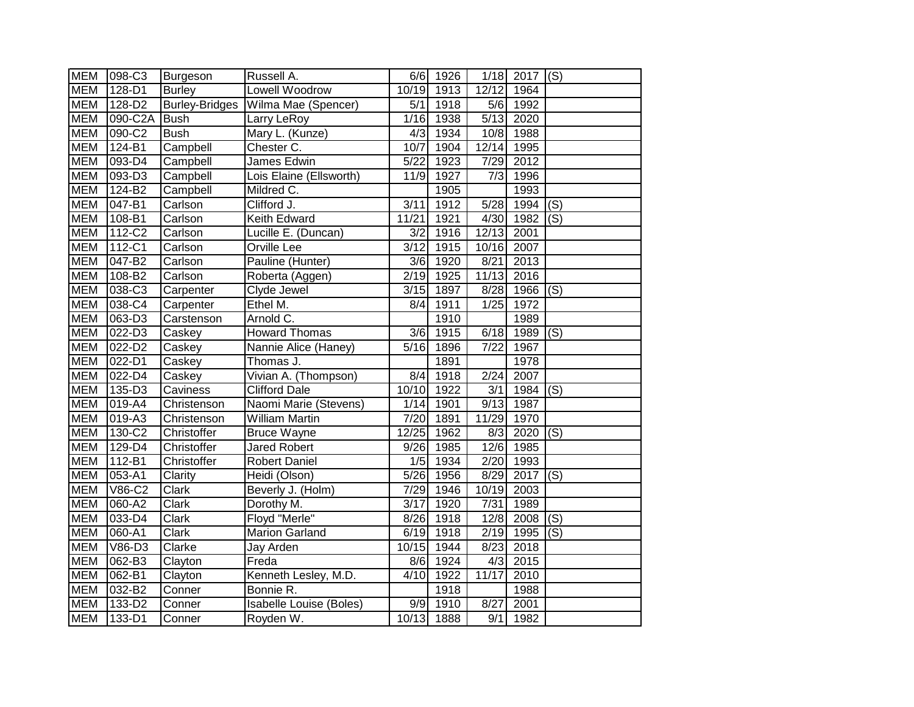| <b>MEM</b> | 098-C3     | Burgeson              | Russell A.              | 6/6               | 1926 | 1/18             | $\boxed{2017}$ (S) |     |
|------------|------------|-----------------------|-------------------------|-------------------|------|------------------|--------------------|-----|
| <b>MEM</b> | $128 - D1$ | <b>Burley</b>         | <b>Lowell Woodrow</b>   | 10/19             | 1913 | 12/12            | 1964               |     |
| <b>MEM</b> | 128-D2     | <b>Burley-Bridges</b> | Wilma Mae (Spencer)     | 5/1               | 1918 | 5/6              | 1992               |     |
| <b>MEM</b> | 090-C2A    | <b>Bush</b>           | Larry LeRoy             | 1/16              | 1938 | $\sqrt{5/13}$    | 2020               |     |
| <b>MEM</b> | 090-C2     | <b>Bush</b>           | Mary L. (Kunze)         | 4/3               | 1934 | 10/8             | 1988               |     |
| <b>MEM</b> | 124-B1     | Campbell              | Chester C.              | 10/7              | 1904 | 12/14            | 1995               |     |
| <b>MEM</b> | 093-D4     | Campbell              | James Edwin             | 5/22              | 1923 | 7/29             | 2012               |     |
| <b>MEM</b> | 093-D3     | Campbell              | Lois Elaine (Ellsworth) | 11/9              | 1927 | 7/3              | 1996               |     |
| <b>MEM</b> | 124-B2     | Campbell              | Mildred C.              |                   | 1905 |                  | 1993               |     |
| <b>MEM</b> | 047-B1     | Carlson               | Clifford J.             | 3/11              | 1912 | 5/28             | 1994               | (S) |
| <b>MEM</b> | 108-B1     | Carlson               | Keith Edward            | 11/21             | 1921 | 4/30             | 1982               | (S) |
| <b>MEM</b> | 112-C2     | Carlson               | Lucille E. (Duncan)     | 3/2               | 1916 | 12/13            | 2001               |     |
| <b>MEM</b> | 112-C1     | Carlson               | Orville Lee             | $\overline{3/12}$ | 1915 | 10/16            | 2007               |     |
| <b>MEM</b> | 047-B2     | Carlson               | Pauline (Hunter)        | 3/6               | 1920 | 8/21             | 2013               |     |
| <b>MEM</b> | 108-B2     | Carlson               | Roberta (Aggen)         | 2/19              | 1925 | 11/13            | 2016               |     |
| <b>MEM</b> | 038-C3     | Carpenter             | Clyde Jewel             | 3/15              | 1897 | 8/28             | 1966               | (S) |
| <b>MEM</b> | 038-C4     | Carpenter             | Ethel M.                | 8/4               | 1911 | 1/25             | 1972               |     |
| <b>MEM</b> | 063-D3     | Carstenson            | Arnold C.               |                   | 1910 |                  | 1989               |     |
| <b>MEM</b> | 022-D3     | Caskey                | <b>Howard Thomas</b>    | 3/6               | 1915 | 6/18             | 1989               | (S) |
| <b>MEM</b> | 022-D2     | Caskey                | Nannie Alice (Haney)    | 5/16              | 1896 | 7/22             | 1967               |     |
| <b>MEM</b> | 022-D1     | Caskey                | Thomas J.               |                   | 1891 |                  | 1978               |     |
| <b>MEM</b> | $022 - D4$ | Caskey                | Vivian A. (Thompson)    | $\frac{8}{4}$     | 1918 | 2/24             | 2007               |     |
| <b>MEM</b> | 135-D3     | Caviness              | <b>Clifford Dale</b>    | 10/10             | 1922 | $\overline{3/1}$ | 1984               | (S) |
| <b>MEM</b> | 019-A4     | Christenson           | Naomi Marie (Stevens)   | $1/14$            | 1901 | 9/13             | 1987               |     |
| <b>MEM</b> | $019 - A3$ | Christenson           | <b>William Martin</b>   | 7/20              | 1891 | 11/29            | 1970               |     |
| <b>MEM</b> | 130-C2     | Christoffer           | <b>Bruce Wayne</b>      | 12/25             | 1962 | 8/3              | 2020               | (S) |
| <b>MEM</b> | 129-D4     | Christoffer           | Jared Robert            | 9/26              | 1985 | 12/6             | 1985               |     |
| <b>MEM</b> | $112 - B1$ | Christoffer           | Robert Daniel           | 1/5               | 1934 | 2/20             | 1993               |     |
| <b>MEM</b> | 053-A1     | Clarity               | Heidi (Olson)           | 5/26              | 1956 | 8/29             | 2017               | (S) |
| <b>MEM</b> | V86-C2     | Clark                 | Beverly J. (Holm)       | 7/29              | 1946 | 10/19            | 2003               |     |
| <b>MEM</b> | 060-A2     | Clark                 | Dorothy M.              | $\overline{3/17}$ | 1920 | 7/31             | 1989               |     |
| <b>MEM</b> | 033-D4     | Clark                 | Floyd "Merle"           | 8/26              | 1918 | 12/8             | 2008               | (S) |
| <b>MEM</b> | 060-A1     | Clark                 | <b>Marion Garland</b>   | 6/19              | 1918 | 2/19             | 1995               | (S) |
| <b>MEM</b> | V86-D3     | Clarke                | Jay Arden               | 10/15             | 1944 | 8/23             | 2018               |     |
| <b>MEM</b> | 062-B3     | Clayton               | Freda                   | 8/6               | 1924 | 4/3              | 2015               |     |
| <b>MEM</b> | 062-B1     | Clayton               | Kenneth Lesley, M.D.    | $\overline{4}/10$ | 1922 | 11/17            | 2010               |     |
| <b>MEM</b> | 032-B2     | Conner                | Bonnie R.               |                   | 1918 |                  | 1988               |     |
| <b>MEM</b> | 133-D2     | Conner                | Isabelle Louise (Boles) | 9/9               | 1910 | 8/27             | 2001               |     |
| <b>MEM</b> | 133-D1     | Conner                | Royden W.               | 10/13             | 1888 | 9/1              | 1982               |     |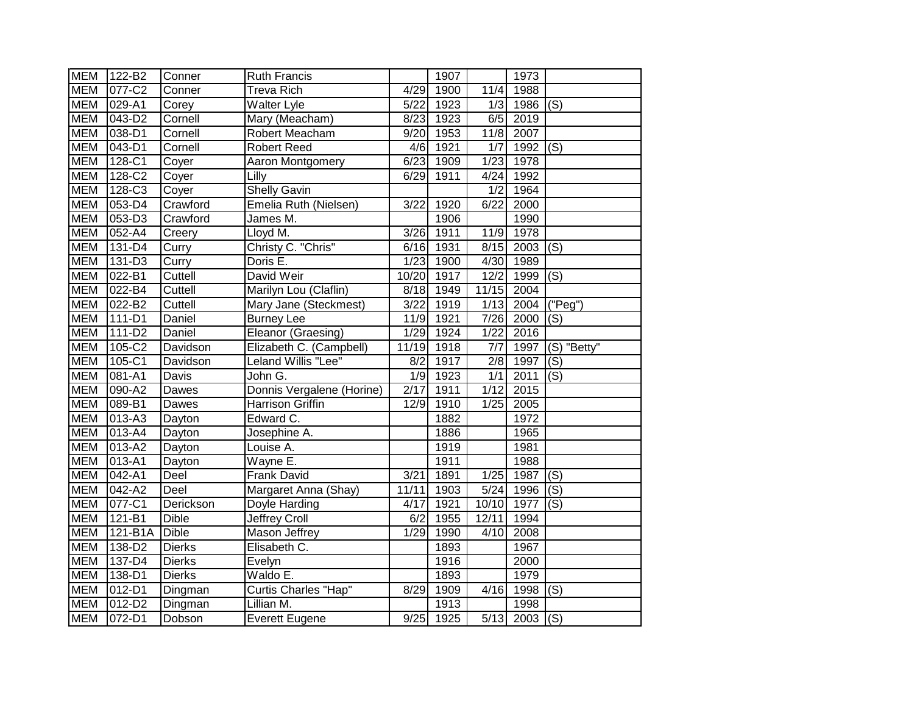| <b>MEM</b> | 122-B2                           | Conner        | <b>Ruth Francis</b>       |        | 1907 |                   | 1973 |                             |
|------------|----------------------------------|---------------|---------------------------|--------|------|-------------------|------|-----------------------------|
| <b>MEM</b> | 077-C2                           | Conner        | <b>Treva Rich</b>         | 4/29   | 1900 | 11/4              | 1988 |                             |
| <b>MEM</b> | 029-A1                           | Corey         | <b>Walter Lyle</b>        | $5/22$ | 1923 | 1/3               | 1986 | (S)                         |
| <b>MEM</b> | 043-D2                           | Cornell       | Mary (Meacham)            | 8/23   | 1923 | 6/5               | 2019 |                             |
| <b>MEM</b> | $038 - D1$                       | Cornell       | Robert Meacham            | 9/20   | 1953 | 11/8              | 2007 |                             |
| <b>MEM</b> | 043-D1                           | Cornell       | <b>Robert Reed</b>        | 4/6    | 1921 | 1/7               | 1992 | (S)                         |
| <b>MEM</b> | 128-C1                           | Coyer         | Aaron Montgomery          | 6/23   | 1909 | 1/23              | 1978 |                             |
| <b>MEM</b> | 128-C2                           | Coyer         | Lilly                     | 6/29   | 1911 | 4/24              | 1992 |                             |
| <b>MEM</b> | 128-C3                           | Coyer         | <b>Shelly Gavin</b>       |        |      | 1/2               | 1964 |                             |
| <b>MEM</b> | 053-D4                           | Crawford      | Emelia Ruth (Nielsen)     | 3/22   | 1920 | 6/22              | 2000 |                             |
| <b>MEM</b> | 053-D3                           | Crawford      | James M.                  |        | 1906 |                   | 1990 |                             |
| <b>MEM</b> | 052-A4                           | Creery        | Lloyd M.                  | 3/26   | 1911 | 11/9              | 1978 |                             |
| <b>MEM</b> | 131-D4                           | Curry         | Christy C. "Chris"        | 6/16   | 1931 | 8/15              | 2003 | (S)                         |
| <b>MEM</b> | $131 - D3$                       | Curry         | Doris E.                  | 1/23   | 1900 | 4/30              | 1989 |                             |
| <b>MEM</b> | 022-B1                           | Cuttell       | David Weir                | 10/20  | 1917 | 12/2              | 1999 | (S)                         |
| <b>MEM</b> | 022-B4                           | Cuttell       | Marilyn Lou (Claflin)     | 8/18   | 1949 | 11/15             | 2004 |                             |
| <b>MEM</b> | 022-B2                           | Cuttell       | Mary Jane (Steckmest)     | 3/22   | 1919 | 1/13              | 2004 | $(\overline{\text{''Peg}})$ |
| <b>MEM</b> | 111-D1                           | Daniel        | <b>Burney Lee</b>         | 11/9   | 1921 | 7/26              | 2000 | (S)                         |
| <b>MEM</b> | $111 - D2$                       | <b>Daniel</b> | Eleanor (Graesing)        | 1/29   | 1924 | 1/22              | 2016 |                             |
| <b>MEM</b> | 105-C2                           | Davidson      | Elizabeth C. (Campbell)   | 11/19  | 1918 | $\overline{7/7}$  | 1997 | (S) "Betty"                 |
| <b>MEM</b> | 105-C1                           | Davidson      | Leland Willis "Lee"       | 8/2    | 1917 | 2/8               | 1997 | (S)                         |
| <b>MEM</b> | 081-A1                           | Davis         | John G.                   | 1/9    | 1923 | 1/1               | 2011 | (S)                         |
| <b>MEM</b> | 090-A2                           | Dawes         | Donnis Vergalene (Horine) | 2/17   | 1911 | 1/12              | 2015 |                             |
| <b>MEM</b> | 089-B1                           | Dawes         | Harrison Griffin          | 12/9   | 1910 | 1/25              | 2005 |                             |
| <b>MEM</b> | $013 - A3$                       | Dayton        | Edward C.                 |        | 1882 |                   | 1972 |                             |
| <b>MEM</b> | $\overline{013} - \overline{04}$ | Dayton        | Josephine A.              |        | 1886 |                   | 1965 |                             |
| <b>MEM</b> | $013 - A2$                       | Dayton        | Louise A.                 |        | 1919 |                   | 1981 |                             |
| <b>MEM</b> | 013-A1                           | Dayton        | Wayne E.                  |        | 1911 |                   | 1988 |                             |
| <b>MEM</b> | 042-A1                           | Deel          | Frank David               | 3/21   | 1891 | 1/25              | 1987 | (S)                         |
| <b>MEM</b> | 042-A2                           | Deel          | Margaret Anna (Shay)      | 11/11  | 1903 | $\frac{1}{5/24}$  | 1996 | (S)                         |
| <b>MEM</b> | 077-C1                           | Derickson     | Doyle Harding             | 4/17   | 1921 | 10/10             | 1977 | (S)                         |
| <b>MEM</b> | 121-B1                           | <b>Dible</b>  | Jeffrey Croll             | 6/2    | 1955 | 12/11             | 1994 |                             |
| <b>MEM</b> | 121-B1A                          | <b>Dible</b>  | Mason Jeffrey             | 1/29   | 1990 | 4/10              | 2008 |                             |
| <b>MEM</b> | 138-D2                           | <b>Dierks</b> | Elisabeth C.              |        | 1893 |                   | 1967 |                             |
| <b>MEM</b> | 137-D4                           | <b>Dierks</b> | Evelyn                    |        | 1916 |                   | 2000 |                             |
| <b>MEM</b> | 138-D1                           | <b>Dierks</b> | Waldo E.                  |        | 1893 |                   | 1979 |                             |
| <b>MEM</b> | 012-D1                           | Dingman       | Curtis Charles "Hap"      | 8/29   | 1909 | $4/\overline{16}$ | 1998 | (S)                         |
| <b>MEM</b> | 012-D2                           | Dingman       | Lillian M.                |        | 1913 |                   | 1998 |                             |
| <b>MEM</b> | 072-D1                           | Dobson        | <b>Everett Eugene</b>     | 9/25   | 1925 | $\sqrt{5/13}$     | 2003 | (S)                         |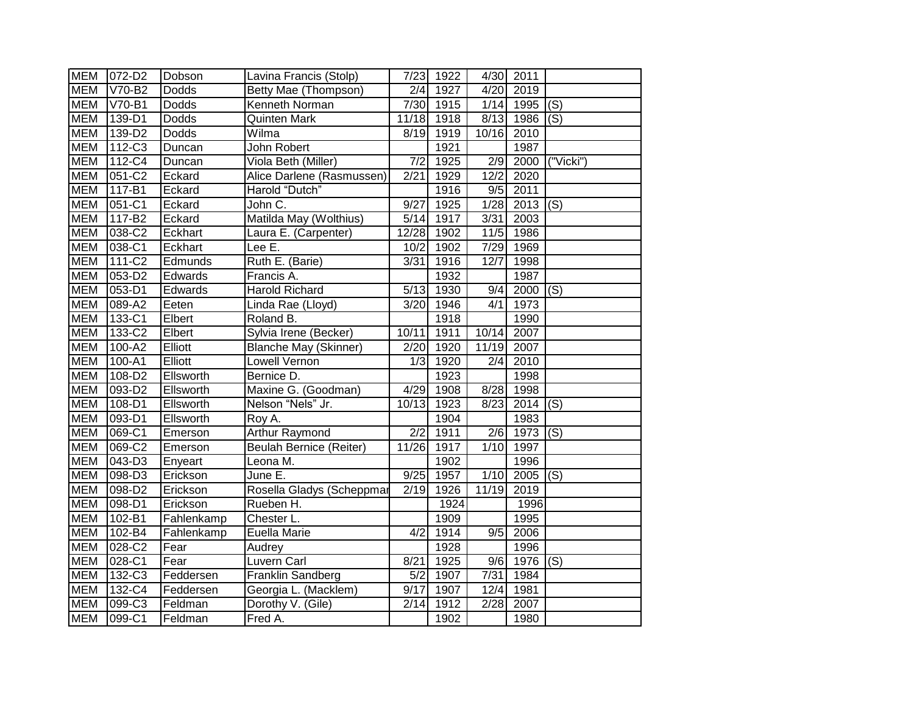| <b>MEM</b> | 072-D2     | Dobson       | Lavina Francis (Stolp)         | 7/23             | 1922 | 4/30             | 2011 |                                       |
|------------|------------|--------------|--------------------------------|------------------|------|------------------|------|---------------------------------------|
| <b>MEM</b> | $V70-B2$   | Dodds        | Betty Mae (Thompson)           | 2/4              | 1927 | 4/20             | 2019 |                                       |
| <b>MEM</b> | V70-B1     | Dodds        | Kenneth Norman                 | 7/30             | 1915 | 1/14             | 1995 | (S)                                   |
| <b>MEM</b> | 139-D1     | Dodds        | <b>Quinten Mark</b>            | 11/18            | 1918 | 8/13             | 1986 | (S)                                   |
| <b>MEM</b> | 139-D2     | <b>Dodds</b> | Wilma                          | 8/19             | 1919 | 10/16            | 2010 |                                       |
| <b>MEM</b> | 112-C3     | Duncan       | John Robert                    |                  | 1921 |                  | 1987 |                                       |
| <b>MEM</b> | 112-C4     | Duncan       | Viola Beth (Miller)            | $\overline{7/2}$ | 1925 | $\sqrt{2/9}$     | 2000 | $\overline{\text{("Vicki}'\text{)} }$ |
| <b>MEM</b> | 051-C2     | Eckard       | Alice Darlene (Rasmussen)      | 2/21             | 1929 | 12/2             | 2020 |                                       |
| <b>MEM</b> | 117-B1     | Eckard       | Harold "Dutch"                 |                  | 1916 | 9/5              | 2011 |                                       |
| <b>MEM</b> | 051-C1     | Eckard       | John C.                        | 9/27             | 1925 | 1/28             | 2013 | (S)                                   |
| <b>MEM</b> | $117 - B2$ | Eckard       | Matilda May (Wolthius)         | $5/14$           | 1917 | $\frac{1}{3/31}$ | 2003 |                                       |
| <b>MEM</b> | 038-C2     | Eckhart      | Laura E. (Carpenter)           | 12/28            | 1902 | 11/5             | 1986 |                                       |
| <b>MEM</b> | 038-C1     | Eckhart      | Lee E.                         | 10/2             | 1902 | 7/29             | 1969 |                                       |
| <b>MEM</b> | $111 - C2$ | Edmunds      | Ruth E. (Barie)                | 3/31             | 1916 | 12/7             | 1998 |                                       |
| <b>MEM</b> | 053-D2     | Edwards      | Francis A.                     |                  | 1932 |                  | 1987 |                                       |
| <b>MEM</b> | 053-D1     | Edwards      | Harold Richard                 | 5/13             | 1930 | 9/4              | 2000 | (S)                                   |
| <b>MEM</b> | 089-A2     | Eeten        | Linda Rae (Lloyd)              | 3/20             | 1946 | 4/1              | 1973 |                                       |
| <b>MEM</b> | 133-C1     | Elbert       | Roland B.                      |                  | 1918 |                  | 1990 |                                       |
| <b>MEM</b> | $133-C2$   | Elbert       | Sylvia Irene (Becker)          | 10/11            | 1911 | 10/14            | 2007 |                                       |
| <b>MEM</b> | $100 - A2$ | Elliott      | <b>Blanche May (Skinner)</b>   | 2/20             | 1920 | 11/19            | 2007 |                                       |
| <b>MEM</b> | $100 - A1$ | Elliott      | Lowell Vernon                  | 1/3              | 1920 | $\overline{2/4}$ | 2010 |                                       |
| <b>MEM</b> | 108-D2     | Ellsworth    | Bernice D.                     |                  | 1923 |                  | 1998 |                                       |
| <b>MEM</b> | 093-D2     | Ellsworth    | Maxine G. (Goodman)            | 4/29             | 1908 | 8/28             | 1998 |                                       |
| <b>MEM</b> | $108 - D1$ | Ellsworth    | Nelson "Nels" Jr.              | 10/13            | 1923 | 8/23             | 2014 | (S)                                   |
| <b>MEM</b> | 093-D1     | Ellsworth    | Roy A.                         |                  | 1904 |                  | 1983 |                                       |
| <b>MEM</b> | 069-C1     | Emerson      | <b>Arthur Raymond</b>          | 2/2              | 1911 | 2/6              | 1973 | (S)                                   |
| <b>MEM</b> | 069-C2     | Emerson      | <b>Beulah Bernice (Reiter)</b> | 11/26            | 1917 | 1/10             | 1997 |                                       |
| <b>MEM</b> | 043-D3     | Enyeart      | Leona M.                       |                  | 1902 |                  | 1996 |                                       |
| <b>MEM</b> | 098-D3     | Erickson     | June E.                        | 9/25             | 1957 | 1/10             | 2005 | (S)                                   |
| <b>MEM</b> | 098-D2     | Erickson     | Rosella Gladys (Scheppmar      | 2/19             | 1926 | 11/19            | 2019 |                                       |
| <b>MEM</b> | 098-D1     | Erickson     | Rueben H.                      |                  | 1924 |                  | 1996 |                                       |
| <b>MEM</b> | 102-B1     | Fahlenkamp   | Chester L.                     |                  | 1909 |                  | 1995 |                                       |
| <b>MEM</b> | 102-B4     | Fahlenkamp   | Euella Marie                   | 4/2              | 1914 | 9/5              | 2006 |                                       |
| <b>MEM</b> | 028-C2     | Fear         | Audrey                         |                  | 1928 |                  | 1996 |                                       |
| <b>MEM</b> | 028-C1     | Fear         | Luvern Carl                    | 8/21             | 1925 | 9/6              | 1976 | (S)                                   |
| <b>MEM</b> | 132-C3     | Feddersen    | Franklin Sandberg              | 5/2              | 1907 | 7/31             | 1984 |                                       |
| <b>MEM</b> | 132-C4     | Feddersen    | Georgia L. (Macklem)           | 9/17             | 1907 | 12/4             | 1981 |                                       |
| <b>MEM</b> | 099-C3     | Feldman      | Dorothy V. (Gile)              | 2/14             | 1912 | $\sqrt{2/28}$    | 2007 |                                       |
| <b>MEM</b> | 099-C1     | Feldman      | Fred A.                        |                  | 1902 |                  | 1980 |                                       |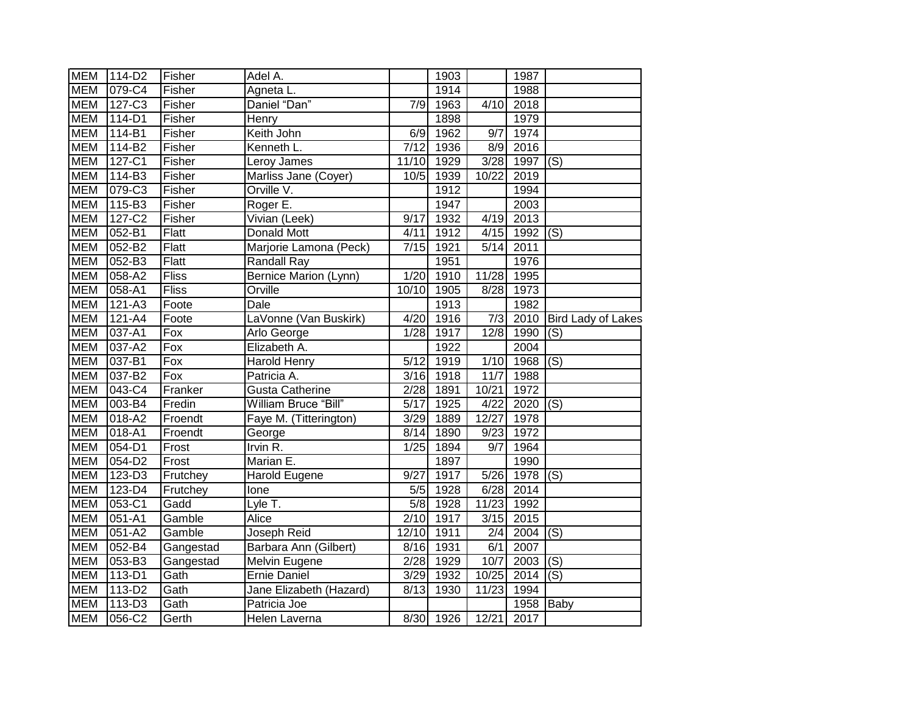| <b>MEM</b> | 114-D2     | Fisher       | Adel A.                      |                   | 1903 |                  | 1987        |                           |
|------------|------------|--------------|------------------------------|-------------------|------|------------------|-------------|---------------------------|
| <b>MEM</b> | 079-C4     | Fisher       | Agneta L.                    |                   | 1914 |                  | 1988        |                           |
| <b>MEM</b> | $127-C3$   | Fisher       | Daniel "Dan"                 | 7/9               | 1963 | 4/10             | 2018        |                           |
| <b>MEM</b> | $114-D1$   | Fisher       | Henry                        |                   | 1898 |                  | 1979        |                           |
| <b>MEM</b> | $114 - B1$ | Fisher       | Keith John                   | 6/9               | 1962 | 9/7              | 1974        |                           |
| <b>MEM</b> | 114-B2     | Fisher       | Kenneth L.                   | 7/12              | 1936 | 8/9              | 2016        |                           |
| <b>MEM</b> | 127-C1     | Fisher       | Leroy James                  | 11/10             | 1929 | 3/28             | 1997        | (S)                       |
| <b>MEM</b> | $114 - B3$ | Fisher       | Marliss Jane (Coyer)         | 10/5              | 1939 | 10/22            | 2019        |                           |
| <b>MEM</b> | 079-C3     | Fisher       | Orville V.                   |                   | 1912 |                  | 1994        |                           |
| <b>MEM</b> | 115-B3     | Fisher       | Roger E.                     |                   | 1947 |                  | 2003        |                           |
| <b>MEM</b> | 127-C2     | Fisher       | Vivian (Leek)                | 9/17              | 1932 | 4/19             | 2013        |                           |
| <b>MEM</b> | 052-B1     | <b>Flatt</b> | Donald Mott                  | 4/11              | 1912 | 4/15             | 1992 $ (S)$ |                           |
| <b>MEM</b> | 052-B2     | Flatt        | Marjorie Lamona (Peck)       | 7/15              | 1921 | 5/14             | 2011        |                           |
| <b>MEM</b> | 052-B3     | Flatt        | Randall Ray                  |                   | 1951 |                  | 1976        |                           |
| <b>MEM</b> | 058-A2     | <b>Fliss</b> | <b>Bernice Marion (Lynn)</b> | 1/20              | 1910 | 11/28            | 1995        |                           |
| <b>MEM</b> | 058-A1     | <b>Fliss</b> | Orville                      | 10/10             | 1905 | 8/28             | 1973        |                           |
| <b>MEM</b> | $121 - A3$ | Foote        | Dale                         |                   | 1913 |                  | 1982        |                           |
| <b>MEM</b> | 121-A4     | Foote        | LaVonne (Van Buskirk)        | 4/20              | 1916 | $\overline{7/3}$ | 2010        | <b>Bird Lady of Lakes</b> |
| <b>MEM</b> | $037 - A1$ | Fox          | Arlo George                  | 1/28              | 1917 | 12/8             | 1990        | (S)                       |
| <b>MEM</b> | 037-A2     | $\bar{F}$ ox | Elizabeth A.                 |                   | 1922 |                  | 2004        |                           |
| <b>MEM</b> | 037-B1     | Fox          | Harold Henry                 | 5/12              | 1919 | 1/10             | 1968        | (S)                       |
| <b>MEM</b> | 037-B2     | Fox          | Patricia A.                  | 3/16              | 1918 | 11/7             | 1988        |                           |
| <b>MEM</b> | 043-C4     | Franker      | <b>Gusta Catherine</b>       | 2/28              | 1891 | 10/21            | 1972        |                           |
| <b>MEM</b> | 003-B4     | Fredin       | William Bruce "Bill"         | $\overline{5/17}$ | 1925 | 4/22             | 2020        | $\overline{(\mathsf{S})}$ |
| <b>MEM</b> | 018-A2     | Froendt      | Faye M. (Titterington)       | 3/29              | 1889 | 12/27            | 1978        |                           |
| <b>MEM</b> | $018 - A1$ | Froendt      | George                       | 8/14              | 1890 | 9/23             | 1972        |                           |
| <b>MEM</b> | $054 - D1$ | Frost        | Irvin R.                     | 1/25              | 1894 | $\overline{9/7}$ | 1964        |                           |
| <b>MEM</b> | 054-D2     | Frost        | Marian E.                    |                   | 1897 |                  | 1990        |                           |
| <b>MEM</b> | 123-D3     | Frutchey     | Harold Eugene                | 9/27              | 1917 | 5/26             | 1978        | $\overline{(\mathsf{S})}$ |
| <b>MEM</b> | 123-D4     | Frutchey     | lone                         | 5/5               | 1928 | 6/28             | 2014        |                           |
| <b>MEM</b> | 053-C1     | Gadd         | Lyle T.                      | 5/8               | 1928 | 11/23            | 1992        |                           |
| <b>MEM</b> | $051 - A1$ | Gamble       | Alice                        | $\overline{2}/10$ | 1917 | 3/15             | 2015        |                           |
| <b>MEM</b> | $051 - A2$ | Gamble       | Joseph Reid                  | 12/10             | 1911 | $\overline{2/4}$ | 2004        | (S)                       |
| <b>MEM</b> | 052-B4     | Gangestad    | Barbara Ann (Gilbert)        | 8/16              | 1931 | 6/1              | 2007        |                           |
| <b>MEM</b> | 053-B3     | Gangestad    | Melvin Eugene                | 2/28              | 1929 | 10/7             | 2003        | (S)                       |
| <b>MEM</b> | 113-D1     | Gath         | <b>Ernie Daniel</b>          | 3/29              | 1932 | 10/25            | 2014        | (S)                       |
| <b>MEM</b> | $113-D2$   | Gath         | Jane Elizabeth (Hazard)      | 8/13              | 1930 | 11/23            | 1994        |                           |
| <b>MEM</b> | 113-D3     | Gath         | Patricia Joe                 |                   |      |                  | 1958        | Baby                      |
| <b>MEM</b> | 056-C2     | Gerth        | Helen Laverna                | 8/30              | 1926 | 12/21            | 2017        |                           |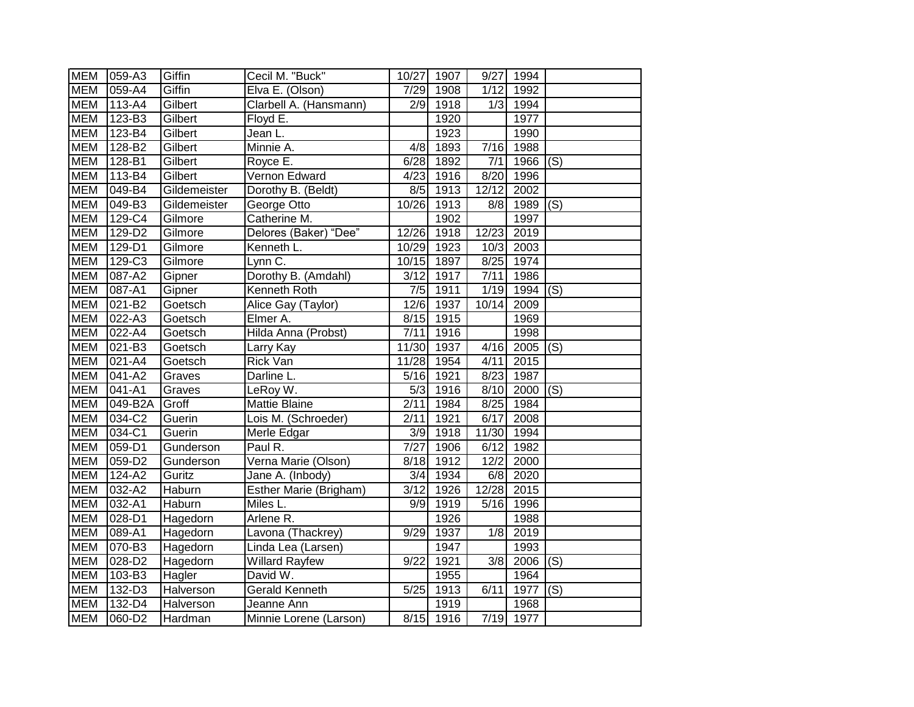| <b>MEM</b> | 059-A3     | Giffin           | Cecil M. "Buck"        | 10/27             | 1907 | 9/27             | 1994      |     |
|------------|------------|------------------|------------------------|-------------------|------|------------------|-----------|-----|
| <b>MEM</b> | 059-A4     | Giffin           | Elva E. (Olson)        | 7/29              | 1908 | 1/12             | 1992      |     |
| <b>MEM</b> | 113-A4     | Gilbert          | Clarbell A. (Hansmann) | 2/9               | 1918 | $\overline{1}/3$ | 1994      |     |
| <b>MEM</b> | 123-B3     | Gilbert          | Floyd E.               |                   | 1920 |                  | 1977      |     |
| <b>MEM</b> | 123-B4     | Gilbert          | Jean L.                |                   | 1923 |                  | 1990      |     |
| <b>MEM</b> | 128-B2     | Gilbert          | Minnie A.              | 4/8               | 1893 | 7/16             | 1988      |     |
| <b>MEM</b> | $128 - B1$ | Gilbert          | Royce E.               | 6/28              | 1892 | 7/1              | 1966      | (S) |
| <b>MEM</b> | 113-B4     | Gilbert          | Vernon Edward          | 4/23              | 1916 | 8/20             | 1996      |     |
| <b>MEM</b> | 049-B4     | Gildemeister     | Dorothy B. (Beldt)     | 8/5               | 1913 | 12/12            | 2002      |     |
| <b>MEM</b> | 049-B3     | Gildemeister     | George Otto            | 10/26             | 1913 | 8/8              | 1989 (S)  |     |
| <b>MEM</b> | 129-C4     | Gilmore          | Catherine M.           |                   | 1902 |                  | 1997      |     |
| <b>MEM</b> | $129-D2$   | Gilmore          | Delores (Baker) "Dee"  | 12/26             | 1918 | 12/23            | 2019      |     |
| <b>MEM</b> | $129 - D1$ | Gilmore          | Kenneth L.             | 10/29             | 1923 | 10/3             | 2003      |     |
| <b>MEM</b> | $129-C3$   | Gilmore          | Lynn C.                | 10/15             | 1897 | 8/25             | 1974      |     |
| <b>MEM</b> | 087-A2     | Gipner           | Dorothy B. (Amdahl)    | 3/12              | 1917 | 7/11             | 1986      |     |
| <b>MEM</b> | 087-A1     | Gipner           | Kenneth Roth           | 7/5               | 1911 | 1/19             | 1994      | (S) |
| <b>MEM</b> | $021 - B2$ | Goetsch          | Alice Gay (Taylor)     | 12/6              | 1937 | 10/14            | 2009      |     |
| <b>MEM</b> | 022-A3     | Goetsch          | Elmer A.               | 8/15              | 1915 |                  | 1969      |     |
| <b>MEM</b> | $022 - A4$ | Goetsch          | Hilda Anna (Probst)    | 7/11              | 1916 |                  | 1998      |     |
| <b>MEM</b> | 021-B3     | Goetsch          | Larry Kay              | 11/30             | 1937 | 4/16             | 2005      | (S) |
| <b>MEM</b> | 021-A4     | Goetsch          | <b>Rick Van</b>        | 11/28             | 1954 | 4/11             | 2015      |     |
| <b>MEM</b> | 041-A2     | Graves           | Darline L.             | 5/16              | 1921 | 8/23             | 1987      |     |
| <b>MEM</b> | 041-A1     | Graves           | LeRoy W.               | 5/3               | 1916 | 8/10             | 2000      | (S) |
| <b>MEM</b> | 049-B2A    | Groff            | Mattie Blaine          | 2/11              | 1984 | 8/25             | 1984      |     |
| <b>MEM</b> | 034-C2     | Guerin           | Lois M. (Schroeder)    | 2/11              | 1921 | 6/17             | 2008      |     |
| <b>MEM</b> | 034-C1     | Guerin           | Merle Edgar            | $\overline{3/9}$  | 1918 | 11/30            | 1994      |     |
| <b>MEM</b> | 059-D1     | Gunderson        | Paul R.                | $\overline{7/27}$ | 1906 | 6/12             | 1982      |     |
| <b>MEM</b> | 059-D2     | Gunderson        | Verna Marie (Olson)    | 8/18              | 1912 | 12/2             | 2000      |     |
| <b>MEM</b> | 124-A2     | Guritz           | Jane A. (Inbody)       | 3/4               | 1934 | 6/8              | 2020      |     |
| <b>MEM</b> | 032-A2     | Haburn           | Esther Marie (Brigham) | 3/12              | 1926 | 12/28            | 2015      |     |
| <b>MEM</b> | 032-A1     | Haburn           | Miles L.               | 9/9               | 1919 | 5/16             | 1996      |     |
| <b>MEM</b> | $028 - D1$ | Hagedorn         | Arlene R.              |                   | 1926 |                  | 1988      |     |
| <b>MEM</b> | 089-A1     | Hagedorn         | Lavona (Thackrey)      | 9/29              | 1937 | 1/8              | 2019      |     |
| <b>MEM</b> | 070-B3     | Hagedorn         | Linda Lea (Larsen)     |                   | 1947 |                  | 1993      |     |
| <b>MEM</b> | 028-D2     | Hagedorn         | <b>Willard Rayfew</b>  | 9/22              | 1921 | 3/8              | 2006      | (S) |
| <b>MEM</b> | 103-B3     | Hagler           | David W.               |                   | 1955 |                  | 1964      |     |
| <b>MEM</b> | 132-D3     | Halverson        | <b>Gerald Kenneth</b>  | $5/25$            | 1913 | 6/11             | 1977      | (S) |
| <b>MEM</b> | 132-D4     | <b>Halverson</b> | Jeanne Ann             |                   | 1919 |                  | 1968      |     |
| <b>MEM</b> | 060-D2     | Hardman          | Minnie Lorene (Larson) | 8/15              | 1916 |                  | 7/19 1977 |     |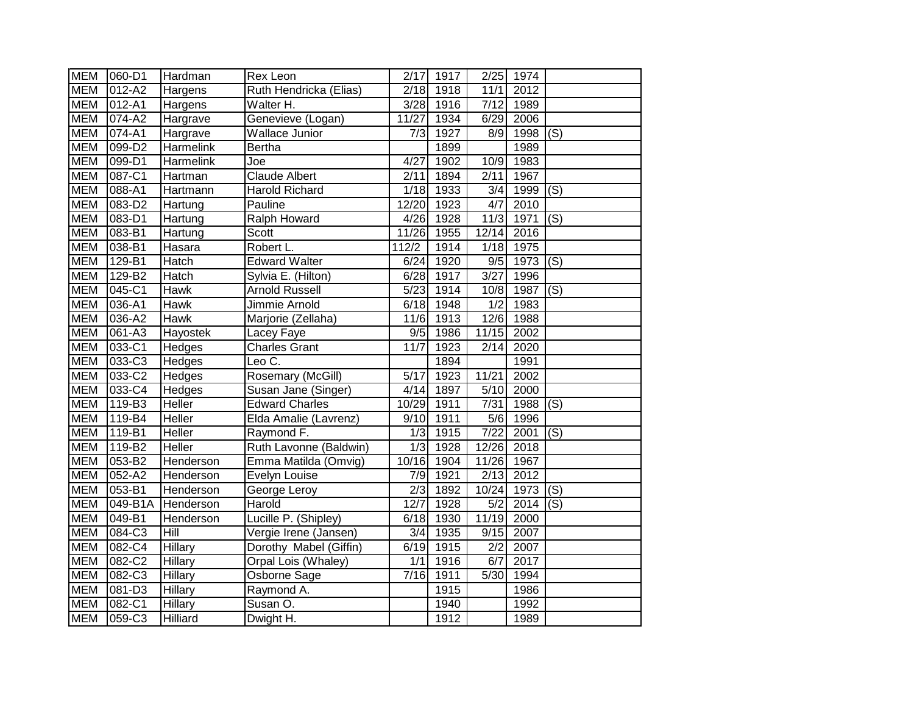| <b>MEM</b> | 060-D1     | Hardman         | Rex Leon               | 2/17             | 1917 | 2/25              | 1974 |                           |
|------------|------------|-----------------|------------------------|------------------|------|-------------------|------|---------------------------|
| <b>MEM</b> | $012 - A2$ | Hargens         | Ruth Hendricka (Elias) | 2/18             | 1918 | 11/1              | 2012 |                           |
| <b>MEM</b> | 012-A1     | Hargens         | Walter H.              | 3/28             | 1916 | 7/12              | 1989 |                           |
| <b>MEM</b> | 074-A2     | Hargrave        | Genevieve (Logan)      | 11/27            | 1934 | 6/29              | 2006 |                           |
| <b>MEM</b> | 074-A1     | Hargrave        | <b>Wallace Junior</b>  | 7/3              | 1927 | 8/9               | 1998 | (S)                       |
| <b>MEM</b> | 099-D2     | Harmelink       | <b>Bertha</b>          |                  | 1899 |                   | 1989 |                           |
| <b>MEM</b> | 099-D1     | Harmelink       | Joe                    | 4/27             | 1902 | 10/9              | 1983 |                           |
| <b>MEM</b> | 087-C1     | Hartman         | <b>Claude Albert</b>   | 2/11             | 1894 | 2/11              | 1967 |                           |
| <b>MEM</b> | $088 - A1$ | Hartmann        | <b>Harold Richard</b>  | 1/18             | 1933 | $\overline{3/4}$  | 1999 | (S)                       |
| <b>MEM</b> | 083-D2     | Hartung         | Pauline                | 12/20            | 1923 | 4/7               | 2010 |                           |
| <b>MEM</b> | 083-D1     | Hartung         | Ralph Howard           | 4/26             | 1928 | 11/3              | 1971 | (S)                       |
| <b>MEM</b> | 083-B1     | Hartung         | Scott                  | 11/26            | 1955 | 12/14             | 2016 |                           |
| <b>MEM</b> | 038-B1     | Hasara          | Robert L.              | 112/2            | 1914 | 1/18              | 1975 |                           |
| <b>MEM</b> | $129 - B1$ | Hatch           | <b>Edward Walter</b>   | 6/24             | 1920 | 9/5               | 1973 | (S)                       |
| <b>MEM</b> | 129-B2     | Hatch           | Sylvia E. (Hilton)     | 6/28             | 1917 | 3/27              | 1996 |                           |
| <b>MEM</b> | 045-C1     | Hawk            | <b>Arnold Russell</b>  | 5/23             | 1914 | 10/8              | 1987 | (S)                       |
| <b>MEM</b> | 036-A1     | Hawk            | Jimmie Arnold          | 6/18             | 1948 | 1/2               | 1983 |                           |
| <b>MEM</b> | 036-A2     | Hawk            | Marjorie (Zellaha)     | 11/6             | 1913 | 12/6              | 1988 |                           |
| <b>MEM</b> | 061-A3     | Hayostek        | Lacey Faye             | 9/5              | 1986 | 11/15             | 2002 |                           |
| <b>MEM</b> | 033-C1     | Hedges          | <b>Charles Grant</b>   | 11/7             | 1923 | $\sqrt{2/14}$     | 2020 |                           |
| <b>MEM</b> | 033-C3     | Hedges          | Leo C.                 |                  | 1894 |                   | 1991 |                           |
| <b>MEM</b> | 033-C2     | Hedges          | Rosemary (McGill)      | 5/17             | 1923 | 11/21             | 2002 |                           |
| <b>MEM</b> | 033-C4     | Hedges          | Susan Jane (Singer)    | 4/14             | 1897 | 5/10              | 2000 |                           |
| <b>MEM</b> | 119-B3     | Heller          | <b>Edward Charles</b>  | 10/29            | 1911 | 7/31              | 1988 | (S)                       |
| <b>MEM</b> | 119-B4     | Heller          | Elda Amalie (Lavrenz)  | 9/10             | 1911 | 5/6               | 1996 |                           |
| <b>MEM</b> | 119-B1     | Heller          | Raymond F.             | 1/3              | 1915 | $\frac{1}{7}{22}$ | 2001 | (S)                       |
| <b>MEM</b> | 119-B2     | Heller          | Ruth Lavonne (Baldwin) | 1/3              | 1928 | 12/26             | 2018 |                           |
| <b>MEM</b> | 053-B2     | Henderson       | Emma Matilda (Omvig)   | 10/16            | 1904 | 11/26             | 1967 |                           |
| <b>MEM</b> | 052-A2     | Henderson       | Evelyn Louise          | 7/9              | 1921 | 2/13              | 2012 |                           |
| <b>MEM</b> | 053-B1     | Henderson       | George Leroy           | $\overline{2/3}$ | 1892 | 10/24             | 1973 | $\overline{(\mathsf{S})}$ |
| <b>MEM</b> | 049-B1A    | Henderson       | Harold                 | 12/7             | 1928 | $\overline{5/2}$  | 2014 | (S)                       |
| <b>MEM</b> | 049-B1     | Henderson       | Lucille P. (Shipley)   | 6/18             | 1930 | 11/19             | 2000 |                           |
| <b>MEM</b> | 084-C3     | Hill            | Vergie Irene (Jansen)  | 3/4              | 1935 | 9/15              | 2007 |                           |
| <b>MEM</b> | 082-C4     | Hillary         | Dorothy Mabel (Giffin) | 6/19             | 1915 | $\overline{2/2}$  | 2007 |                           |
| <b>MEM</b> | 082-C2     | Hillary         | Orpal Lois (Whaley)    | 1/1              | 1916 | 6/7               | 2017 |                           |
| <b>MEM</b> | 082-C3     | Hillary         | Osborne Sage           | 7/16             | 1911 | 5/30              | 1994 |                           |
| <b>MEM</b> | 081-D3     | Hillary         | Raymond A.             |                  | 1915 |                   | 1986 |                           |
| <b>MEM</b> | 082-C1     | Hillary         | Susan O.               |                  | 1940 |                   | 1992 |                           |
| <b>MEM</b> | 059-C3     | <b>Hilliard</b> | Dwight H.              |                  | 1912 |                   | 1989 |                           |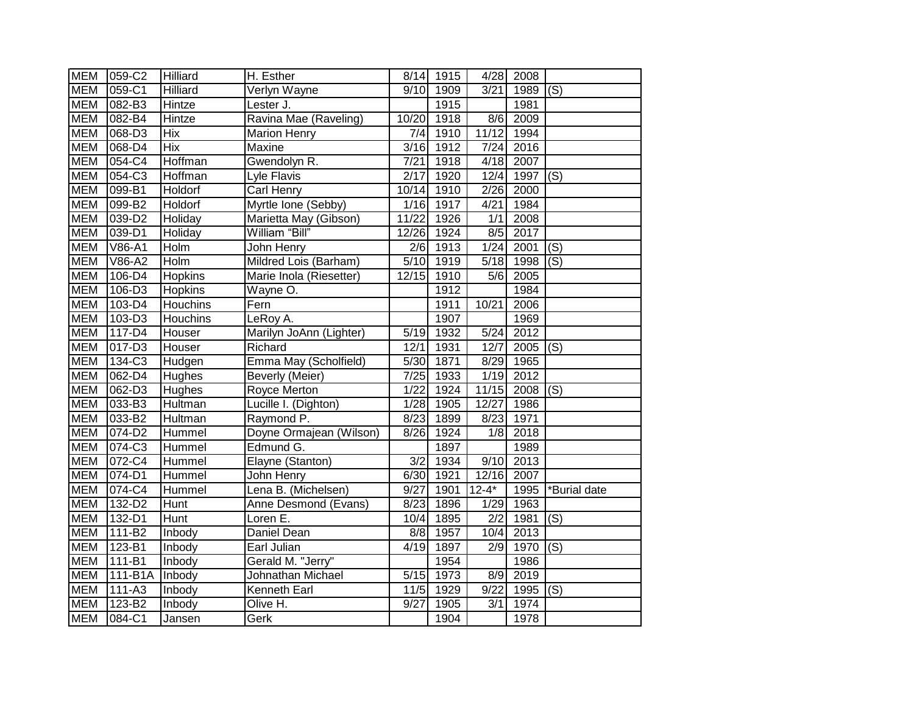| <b>MEM</b> | 059-C2     | <b>Hilliard</b> | H. Esther               |                   | 8/14 1915 |                  | 4/28 2008 |              |
|------------|------------|-----------------|-------------------------|-------------------|-----------|------------------|-----------|--------------|
| <b>MEM</b> | 059-C1     | <b>Hilliard</b> | Verlyn Wayne            | 9/10              | 1909      | 3/21             | 1989      | (S)          |
| <b>MEM</b> | 082-B3     | Hintze          | Lester J.               |                   | 1915      |                  | 1981      |              |
| <b>MEM</b> | 082-B4     | Hintze          | Ravina Mae (Raveling)   | 10/20             | 1918      | 8/6              | 2009      |              |
| <b>MEM</b> | 068-D3     | <b>Hix</b>      | <b>Marion Henry</b>     | 7/4               | 1910      | 11/12            | 1994      |              |
| <b>MEM</b> | 068-D4     | <b>Hix</b>      | Maxine                  | 3/16              | 1912      | 7/24             | 2016      |              |
| <b>MEM</b> | 054-C4     | Hoffman         | Gwendolyn R.            | 7/21              | 1918      | 4/18             | 2007      |              |
| <b>MEM</b> | 054-C3     | Hoffman         | Lyle Flavis             | 2/17              | 1920      | 12/4             | 1997      | (S)          |
| <b>MEM</b> | 099-B1     | Holdorf         | Carl Henry              | 10/14             | 1910      | 2/26             | 2000      |              |
| <b>MEM</b> | 099-B2     | Holdorf         | Myrtle Ione (Sebby)     | 1/16              | 1917      | 4/21             | 1984      |              |
| <b>MEM</b> | 039-D2     | Holiday         | Marietta May (Gibson)   | 11/22             | 1926      | 1/1              | 2008      |              |
| <b>MEM</b> | 039-D1     | Holiday         | William "Bill"          | 12/26             | 1924      | 8/5              | 2017      |              |
| <b>MEM</b> | V86-A1     | Holm            | John Henry              | 2/6               | 1913      | 1/24             | 2001      | (S)          |
| <b>MEM</b> | V86-A2     | Holm            | Mildred Lois (Barham)   | 5/10              | 1919      | 5/18             | 1998      | (S)          |
| <b>MEM</b> | $106-D4$   | Hopkins         | Marie Inola (Riesetter) | 12/15             | 1910      | 5/6              | 2005      |              |
| <b>MEM</b> | $106-D3$   | <b>Hopkins</b>  | Wayne O.                |                   | 1912      |                  | 1984      |              |
| <b>MEM</b> | 103-D4     | Houchins        | Fern                    |                   | 1911      | 10/21            | 2006      |              |
| <b>MEM</b> | 103-D3     | Houchins        | LeRoy A.                |                   | 1907      |                  | 1969      |              |
| <b>MEM</b> | $117 - D4$ | Houser          | Marilyn JoAnn (Lighter) | 5/19              | 1932      | 5/24             | 2012      |              |
| <b>MEM</b> | $017 - D3$ | Houser          | Richard                 | 12/1              | 1931      | 12/7             | 2005      | (S)          |
| <b>MEM</b> | 134-C3     | Hudgen          | Emma May (Scholfield)   | 5/30              | 1871      | 8/29             | 1965      |              |
| <b>MEM</b> | $062 - D4$ | <b>Hughes</b>   | Beverly (Meier)         | 7/25              | 1933      | 1/19             | 2012      |              |
| <b>MEM</b> | 062-D3     | Hughes          | Royce Merton            | 1/22              | 1924      | 11/15            | 2008      | (S)          |
| <b>MEM</b> | 033-B3     | Hultman         | Lucille I. (Dighton)    | 1/28              | 1905      | 12/27            | 1986      |              |
| <b>MEM</b> | 033-B2     | Hultman         | Raymond P.              | 8/23              | 1899      | 8/23             | 1971      |              |
| <b>MEM</b> | 074-D2     | Hummel          | Doyne Ormajean (Wilson) | 8/26              | 1924      | 1/8              | 2018      |              |
| <b>MEM</b> | 074-C3     | Hummel          | Edmund G.               |                   | 1897      |                  | 1989      |              |
| <b>MEM</b> | 072-C4     | Hummel          | Elayne (Stanton)        | $\overline{3/2}$  | 1934      | 9/10             | 2013      |              |
| <b>MEM</b> | $074 - D1$ | Hummel          | John Henry              | 6/30              | 1921      | 12/16            | 2007      |              |
| <b>MEM</b> | 074-C4     | Hummel          | Lena B. (Michelsen)     | 9/27              | 1901      | $12 - 4*$        | 1995      | *Burial date |
| <b>MEM</b> | 132-D2     | Hunt            | Anne Desmond (Evans)    | 8/23              | 1896      | 1/29             | 1963      |              |
| <b>MEM</b> | 132-D1     | Hunt            | Loren E.                | 10/4              | 1895      | $\overline{2/2}$ | 1981      | (S)          |
| <b>MEM</b> | 111-B2     | Inbody          | Daniel Dean             | 8/8               | 1957      | 10/4             | 2013      |              |
| <b>MEM</b> | 123-B1     | Inbody          | Earl Julian             | 4/19              | 1897      | 2/9              | 1970      | (S)          |
| <b>MEM</b> | 111-B1     | Inbody          | Gerald M. "Jerry"       |                   | 1954      |                  | 1986      |              |
| <b>MEM</b> | 111-B1A    | Inbody          | Johnathan Michael       | 5/15              | 1973      | 8/9              | 2019      |              |
| <b>MEM</b> | 111-A3     | Inbody          | Kenneth Earl            | $\overline{1}1/5$ | 1929      | 9/22             | 1995      | (S)          |
| <b>MEM</b> | 123-B2     | Inbody          | Olive H.                | 9/27              | 1905      | 3/1              | 1974      |              |
| <b>MEM</b> | 084-C1     | Jansen          | Gerk                    |                   | 1904      |                  | 1978      |              |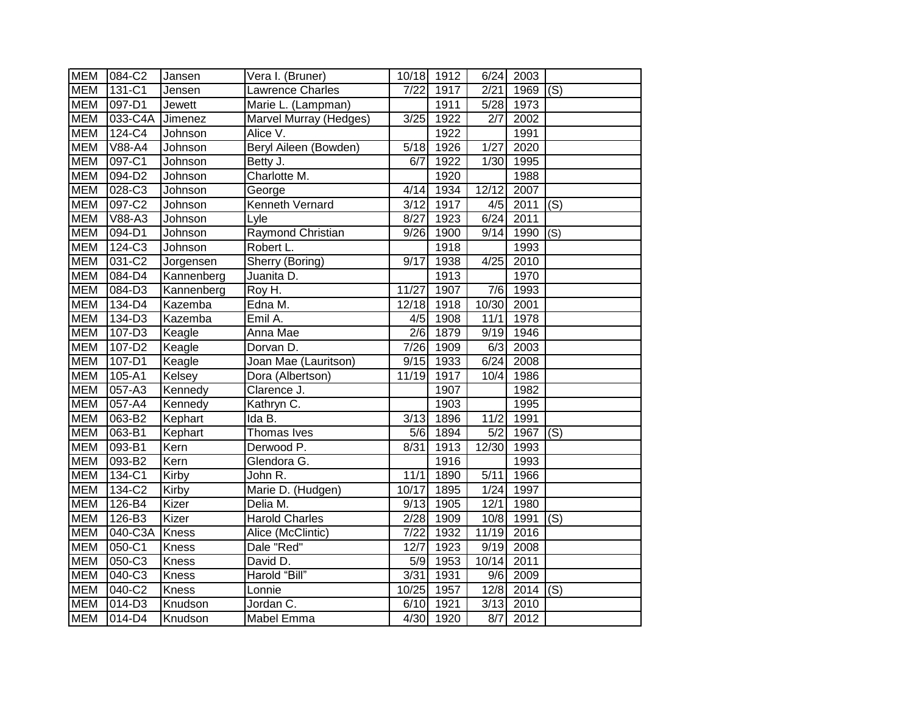| <b>MEM</b> | 084-C2     | Jansen        | Vera I. (Bruner)         | 10/18 1912        |           | 6/24             | 2003 |     |
|------------|------------|---------------|--------------------------|-------------------|-----------|------------------|------|-----|
| <b>MEM</b> | 131-C1     | Jensen        | Lawrence Charles         | 7/22              | 1917      | 2/21             | 1969 | (S) |
| <b>MEM</b> | 097-D1     | <b>Jewett</b> | Marie L. (Lampman)       |                   | 1911      | 5/28             | 1973 |     |
| <b>MEM</b> | 033-C4A    | Jimenez       | Marvel Murray (Hedges)   | 3/25              | 1922      | 2/7              | 2002 |     |
| <b>MEM</b> | 124-C4     | Johnson       | Alice V.                 |                   | 1922      |                  | 1991 |     |
| <b>MEM</b> | V88-A4     | Johnson       | Beryl Aileen (Bowden)    | 5/18              | 1926      | 1/27             | 2020 |     |
| <b>MEM</b> | 097-C1     | Johnson       | Betty J.                 | 6/7               | 1922      | 1/30             | 1995 |     |
| <b>MEM</b> | 094-D2     | Johnson       | Charlotte M.             |                   | 1920      |                  | 1988 |     |
| <b>MEM</b> | 028-C3     | Johnson       | George                   | 4/14              | 1934      | 12/12            | 2007 |     |
| <b>MEM</b> | 097-C2     | Johnson       | Kenneth Vernard          | 3/12              | 1917      | 4/5              | 2011 | (S) |
| <b>MEM</b> | V88-A3     | Johnson       | Lyle                     | 8/27              | 1923      | 6/24             | 2011 |     |
| <b>MEM</b> | 094-D1     | Johnson       | <b>Raymond Christian</b> | 9/26              | 1900      | 9/14             | 1990 | (S) |
| <b>MEM</b> | 124-C3     | Johnson       | Robert L.                |                   | 1918      |                  | 1993 |     |
| <b>MEM</b> | 031-C2     | Jorgensen     | Sherry (Boring)          | 9/17              | 1938      | 4/25             | 2010 |     |
| <b>MEM</b> | 084-D4     | Kannenberg    | Juanita D.               |                   | 1913      |                  | 1970 |     |
| <b>MEM</b> | 084-D3     | Kannenberg    | Roy H.                   | 11/27             | 1907      | $\overline{7/6}$ | 1993 |     |
| <b>MEM</b> | 134-D4     | Kazemba       | Edna M.                  | 12/18             | 1918      | 10/30            | 2001 |     |
| <b>MEM</b> | 134-D3     | Kazemba       | Emil A.                  | 4/5               | 1908      | 11/1             | 1978 |     |
| <b>MEM</b> | 107-D3     | Keagle        | Anna Mae                 | $\overline{2/6}$  | 1879      | 9/19             | 1946 |     |
| <b>MEM</b> | $107-D2$   | Keagle        | Dorvan D.                | 7/26              | 1909      | 6/3              | 2003 |     |
| <b>MEM</b> | $107 - D1$ | Keagle        | Joan Mae (Lauritson)     | $\overline{9/15}$ | 1933      | 6/24             | 2008 |     |
| <b>MEM</b> | $105 - A1$ | Kelsey        | Dora (Albertson)         | 11/19             | 1917      | 10/4             | 1986 |     |
| <b>MEM</b> | 057-A3     | Kennedy       | Clarence J.              |                   | 1907      |                  | 1982 |     |
| <b>MEM</b> | 057-A4     | Kennedy       | Kathryn C.               |                   | 1903      |                  | 1995 |     |
| <b>MEM</b> | 063-B2     | Kephart       | Ida B.                   | 3/13              | 1896      | 11/2             | 1991 |     |
| <b>MEM</b> | 063-B1     | Kephart       | Thomas Ives              | 5/6               | 1894      | 5/2              | 1967 | (S) |
| <b>MEM</b> | 093-B1     | Kern          | Derwood P.               | 8/31              | 1913      | 12/30            | 1993 |     |
| <b>MEM</b> | 093-B2     | Kern          | Glendora G.              |                   | 1916      |                  | 1993 |     |
| <b>MEM</b> | 134-C1     | Kirby         | John R.                  | 11/1              | 1890      | 5/11             | 1966 |     |
| <b>MEM</b> | 134-C2     | Kirby         | Marie D. (Hudgen)        | 10/17             | 1895      | 1/24             | 1997 |     |
| <b>MEM</b> | 126-B4     | Kizer         | Delia M.                 | 9/13              | 1905      | 12/1             | 1980 |     |
| <b>MEM</b> | 126-B3     | Kizer         | <b>Harold Charles</b>    | 2/28              | 1909      | 10/8             | 1991 | (S) |
| <b>MEM</b> | 040-C3A    | <b>Kness</b>  | Alice (McClintic)        | 7/22              | 1932      | 11/19            | 2016 |     |
| <b>MEM</b> | 050-C1     | <b>Kness</b>  | Dale "Red"               | 12/7              | 1923      | 9/19             | 2008 |     |
| <b>MEM</b> | 050-C3     | Kness         | David D.                 | 5/9               | 1953      | 10/14            | 2011 |     |
| <b>MEM</b> | 040-C3     | Kness         | Harold "Bill"            | 3/31              | 1931      | 9/6              | 2009 |     |
| <b>MEM</b> | 040-C2     | <b>Kness</b>  | Lonnie                   | 10/25             | 1957      | 12/8             | 2014 | (S) |
| <b>MEM</b> | 014-D3     | Knudson       | Jordan C.                | 6/10              | 1921      | 3/13             | 2010 |     |
| <b>MEM</b> | $014 - D4$ | Knudson       | Mabel Emma               |                   | 4/30 1920 | 8/7              | 2012 |     |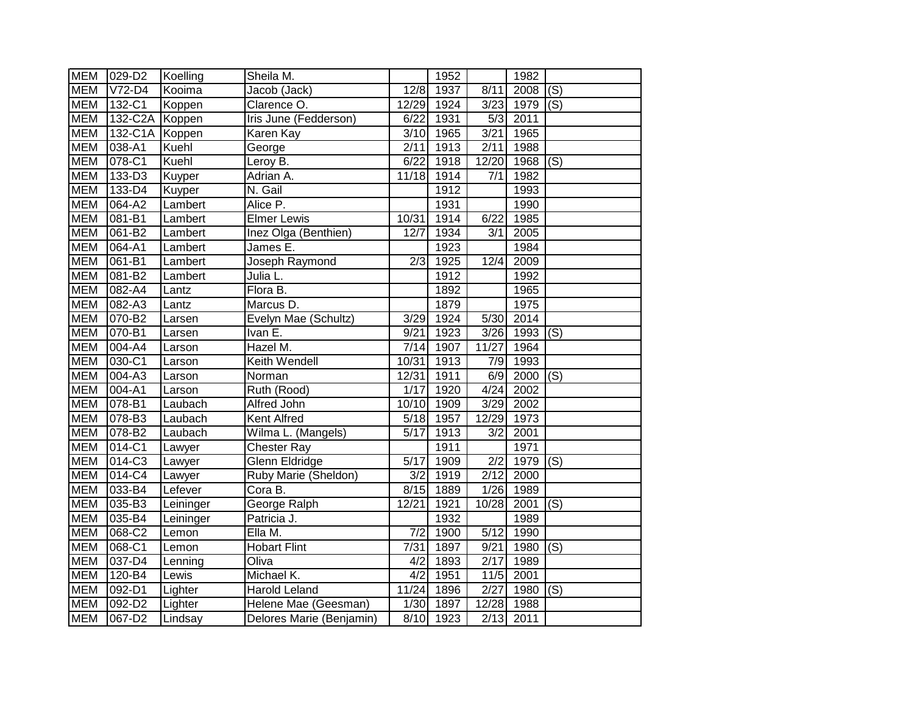| <b>MEM</b> | 029-D2                | Koelling  | Sheila M.                |                   | 1952              |                  | 1982 |                           |
|------------|-----------------------|-----------|--------------------------|-------------------|-------------------|------------------|------|---------------------------|
| <b>MEM</b> | $V72-D4$              | Kooima    | Jacob (Jack)             | 12/8              | 1937              | 8/11             | 2008 | $\overline{(\mathsf{S})}$ |
| <b>MEM</b> | 132-C1                | Koppen    | Clarence O.              | 12/29             | 1924              | 3/23             | 1979 | (S)                       |
| <b>MEM</b> | 132-C2A               | Koppen    | Iris June (Fedderson)    | 6/22              | 1931              | 5/3              | 2011 |                           |
| <b>MEM</b> | 132-C1A               | Koppen    | Karen Kay                | 3/10              | 1965              | 3/21             | 1965 |                           |
| <b>MEM</b> | $\overline{0}38 - A1$ | Kuehl     | George                   | 2/11              | 1913              | 2/11             | 1988 |                           |
| <b>MEM</b> | 078-C1                | Kuehl     | Leroy B.                 | 6/22              | 1918              | 12/20            | 1968 | (S)                       |
| <b>MEM</b> | 133-D3                | Kuyper    | Adrian A.                | 11/18             | $\overline{19}14$ | 7/1              | 1982 |                           |
| <b>MEM</b> | $133-D4$              | Kuyper    | N. Gail                  |                   | 1912              |                  | 1993 |                           |
| <b>MEM</b> | 064-A2                | Lambert   | Alice P.                 |                   | 1931              |                  | 1990 |                           |
| <b>MEM</b> | 081-B1                | Lambert   | <b>Elmer Lewis</b>       | 10/31             | 1914              | 6/22             | 1985 |                           |
| <b>MEM</b> | 061-B2                | Lambert   | Inez Olga (Benthien)     | 12/7              | 1934              | 3/1              | 2005 |                           |
| <b>MEM</b> | 064-A1                | Lambert   | James E.                 |                   | 1923              |                  | 1984 |                           |
| <b>MEM</b> | 061-B1                | Lambert   | Joseph Raymond           | 2/3               | 1925              | 12/4             | 2009 |                           |
| <b>MEM</b> | 081-B2                | Lambert   | Julia L.                 |                   | 1912              |                  | 1992 |                           |
| <b>MEM</b> | 082-A4                | Lantz     | Flora B.                 |                   | 1892              |                  | 1965 |                           |
| <b>MEM</b> | 082-A3                | Lantz     | Marcus D.                |                   | 1879              |                  | 1975 |                           |
| <b>MEM</b> | 070-B2                | Larsen    | Evelyn Mae (Schultz)     | 3/29              | 1924              | 5/30             | 2014 |                           |
| <b>MEM</b> | 070-B1                | Larsen    | Ivan E.                  | 9/21              | 1923              | 3/26             | 1993 | (S)                       |
| <b>MEM</b> | 004-A4                | Larson    | Hazel M.                 | 7/14              | 1907              | 11/27            | 1964 |                           |
| <b>MEM</b> | 030-C1                | Larson    | Keith Wendell            | 10/31             | 1913              | 7/9              | 1993 |                           |
| <b>MEM</b> | 004-A3                | Larson    | Norman                   | 12/31             | 1911              | 6/9              | 2000 | (S)                       |
| <b>MEM</b> | 004-A1                | Larson    | Ruth (Rood)              | $1/17$            | 1920              | 4/24             | 2002 |                           |
| <b>MEM</b> | 078-B1                | Laubach   | Alfred John              | 10/10             | 1909              | 3/29             | 2002 |                           |
| <b>MEM</b> | 078-B3                | Laubach   | Kent Alfred              | $\overline{5/18}$ | 1957              | 12/29            | 1973 |                           |
| <b>MEM</b> | 078-B2                | Laubach   | Wilma L. (Mangels)       | 5/17              | 1913              | 3/2              | 2001 |                           |
| <b>MEM</b> | 014-C1                | Lawyer    | <b>Chester Ray</b>       |                   | 1911              |                  | 1971 |                           |
| <b>MEM</b> | 014-C3                | Lawyer    | <b>Glenn Eldridge</b>    | 5/17              | 1909              | $\overline{2/2}$ | 1979 | $\overline{(\mathsf{S})}$ |
| <b>MEM</b> | 014-C4                | Lawyer    | Ruby Marie (Sheldon)     | 3/2               | 1919              | 2/12             | 2000 |                           |
| <b>MEM</b> | 033-B4                | Lefever   | Cora B.                  | 8/15              | 1889              | 1/26             | 1989 |                           |
| <b>MEM</b> | $035 - B3$            | Leininger | George Ralph             | $12\sqrt{21}$     | $\overline{19}21$ | 10/28            | 2001 | $\overline{S}()$          |
| <b>MEM</b> | $035 - B4$            | Leininger | Patricia J.              |                   | 1932              |                  | 1989 |                           |
| <b>MEM</b> | 068-C2                | Lemon     | Ella M.                  | 7/2               | 1900              | 5/12             | 1990 |                           |
| <b>MEM</b> | 068-C1                | Lemon     | <b>Hobart Flint</b>      | 7/31              | 1897              | 9/21             | 1980 | (S)                       |
| <b>MEM</b> | 037-D4                | Lenning   | Oliva                    | 4/2               | 1893              | 2/17             | 1989 |                           |
| <b>MEM</b> | 120-B4                | Lewis     | Michael K.               | 4/2               | 1951              | 11/5             | 2001 |                           |
| <b>MEM</b> | 092-D1                | Lighter   | <b>Harold Leland</b>     | 11/24             | 1896              | $\sqrt{2/27}$    | 1980 | (S)                       |
| <b>MEM</b> | 092-D2                | Lighter   | Helene Mae (Geesman)     | 1/30              | 1897              | 12/28            | 1988 |                           |
| <b>MEM</b> | 067-D2                | Lindsay   | Delores Marie (Benjamin) | 8/10              | 1923              | 2/13             | 2011 |                           |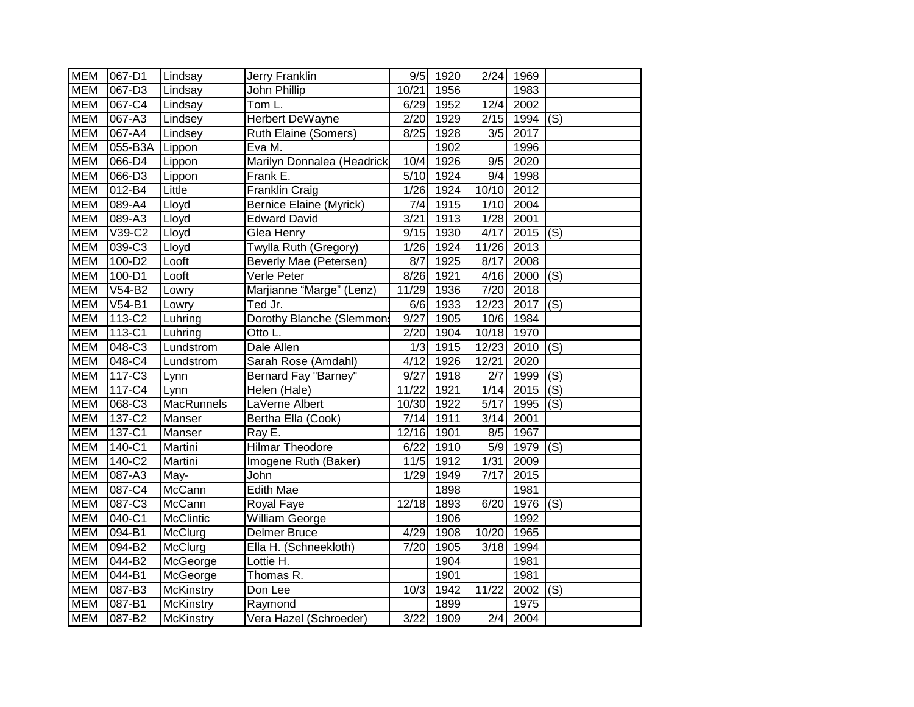| <b>MEM</b> | 067-D1     | Lindsay           | Jerry Franklin                 | 9/5               | 1920 | 2/24              | 1969              |                           |
|------------|------------|-------------------|--------------------------------|-------------------|------|-------------------|-------------------|---------------------------|
| <b>MEM</b> | 067-D3     | Lindsay           | John Phillip                   | 10/21             | 1956 |                   | 1983              |                           |
| <b>MEM</b> | 067-C4     | Lindsay           | Tom L.                         | 6/29              | 1952 | 12/4              | 2002              |                           |
| <b>MEM</b> | 067-A3     | Lindsey           | Herbert DeWayne                | 2/20              | 1929 | 2/15              | 1994              | (S)                       |
| <b>MEM</b> | 067-A4     | Lindsey           | Ruth Elaine (Somers)           | 8/25              | 1928 | 3/5               | 2017              |                           |
| <b>MEM</b> | 055-B3A    | Lippon            | Eva M.                         |                   | 1902 |                   | 1996              |                           |
| <b>MEM</b> | 066-D4     | Lippon            | Marilyn Donnalea (Headrick     | 10/4              | 1926 | 9/5               | 2020              |                           |
| <b>MEM</b> | $066 - D3$ | Lippon            | Frank E.                       | 5/10              | 1924 | 9/4               | 1998              |                           |
| <b>MEM</b> | 012-B4     | Little            | Franklin Craig                 | 1/26              | 1924 | 10/10             | 2012              |                           |
| <b>MEM</b> | 089-A4     | Lloyd             | <b>Bernice Elaine (Myrick)</b> | 7/4               | 1915 | 1/10              | 2004              |                           |
| <b>MEM</b> | 089-A3     | Lloyd             | <b>Edward David</b>            | $\overline{3/21}$ | 1913 | 1/28              | 2001              |                           |
| <b>MEM</b> | V39-C2     | Lloyd             | Glea Henry                     | 9/15              | 1930 | 4/17              | 2015              | (S)                       |
| <b>MEM</b> | 039-C3     | Lloyd             | Twylla Ruth (Gregory)          | 1/26              | 1924 | 11/26             | 2013              |                           |
| <b>MEM</b> | 100-D2     | Looft             | Beverly Mae (Petersen)         | 8/7               | 1925 | 8/17              | 2008              |                           |
| <b>MEM</b> | 100-D1     | Looft             | Verle Peter                    | 8/26              | 1921 | 4/16              | 2000              | (S)                       |
| <b>MEM</b> | V54-B2     | Lowry             | Marjianne "Marge" (Lenz)       | 11/29             | 1936 | 7/20              | 2018              |                           |
| <b>MEM</b> | $V54-B1$   | Lowry             | Ted Jr.                        | $\frac{6}{6}$     | 1933 | 12/23             | 2017              | $\overline{(\mathsf{S})}$ |
| <b>MEM</b> | 113-C2     | Luhring           | Dorothy Blanche (Slemmons      | 9/27              | 1905 | 10/6              | 1984              |                           |
| <b>MEM</b> | $113-C1$   | Luhring           | Otto L.                        | 2/20              | 1904 | 10/18             | 1970              |                           |
| <b>MEM</b> | 048-C3     | Lundstrom         | Dale Allen                     | 1/3               | 1915 | 12/23             | 2010              | $\overline{(\mathsf{S})}$ |
| <b>MEM</b> | 048-C4     | Lundstrom         | Sarah Rose (Amdahl)            | 4/12              | 1926 | 12/21             | $\overline{2020}$ |                           |
| <b>MEM</b> | 117-C3     | Lynn              | <b>Bernard Fay "Barney"</b>    | 9/27              | 1918 | 2/7               | 1999              | (S)                       |
| <b>MEM</b> | 117-C4     | Lynn              | Helen (Hale)                   | 11/22             | 1921 | 1/14              | 2015              | (S)                       |
| <b>MEM</b> | 068-C3     | <b>MacRunnels</b> | LaVerne Albert                 | 10/30             | 1922 | $\overline{5/17}$ | 1995              | (S)                       |
| <b>MEM</b> | 137-C2     | Manser            | Bertha Ella (Cook)             | $\overline{7}/14$ | 1911 | 3/14              | 2001              |                           |
| <b>MEM</b> | 137-C1     | Manser            | Ray E.                         | 12/16             | 1901 | 8/5               | 1967              |                           |
| <b>MEM</b> | 140-C1     | Martini           | <b>Hilmar Theodore</b>         | 6/22              | 1910 | $\overline{5/9}$  | 1979              | $\overline{(\mathsf{S})}$ |
| <b>MEM</b> | 140-C2     | Martini           | Imogene Ruth (Baker)           | 11/5              | 1912 | 1/31              | 2009              |                           |
| <b>MEM</b> | 087-A3     | May-              | John                           | 1/29              | 1949 | $\overline{7/17}$ | 2015              |                           |
| <b>MEM</b> | 087-C4     | McCann            | <b>Edith Mae</b>               |                   | 1898 |                   | 1981              |                           |
| <b>MEM</b> | 087-C3     | <b>McCann</b>     | Royal Faye                     | 12/18             | 1893 | 6/20              | 1976              | (S)                       |
| <b>MEM</b> | 040-C1     | McClintic         | William George                 |                   | 1906 |                   | 1992              |                           |
| <b>MEM</b> | 094-B1     | McClurg           | <b>Delmer Bruce</b>            | 4/29              | 1908 | 10/20             | 1965              |                           |
| <b>MEM</b> | 094-B2     | McClurg           | Ella H. (Schneekloth)          | 7/20              | 1905 | 3/18              | 1994              |                           |
| <b>MEM</b> | 044-B2     | McGeorge          | Lottie H.                      |                   | 1904 |                   | 1981              |                           |
| <b>MEM</b> | 044-B1     | McGeorge          | Thomas R.                      |                   | 1901 |                   | 1981              |                           |
| <b>MEM</b> | 087-B3     | McKinstry         | Don Lee                        | 10/3              | 1942 | 11/22             | 2002              | (S)                       |
| <b>MEM</b> | 087-B1     | <b>McKinstry</b>  | Raymond                        |                   | 1899 |                   | 1975              |                           |
| <b>MEM</b> | 087-B2     | <b>McKinstry</b>  | Vera Hazel (Schroeder)         | 3/22              | 1909 | $\overline{2}/4$  | 2004              |                           |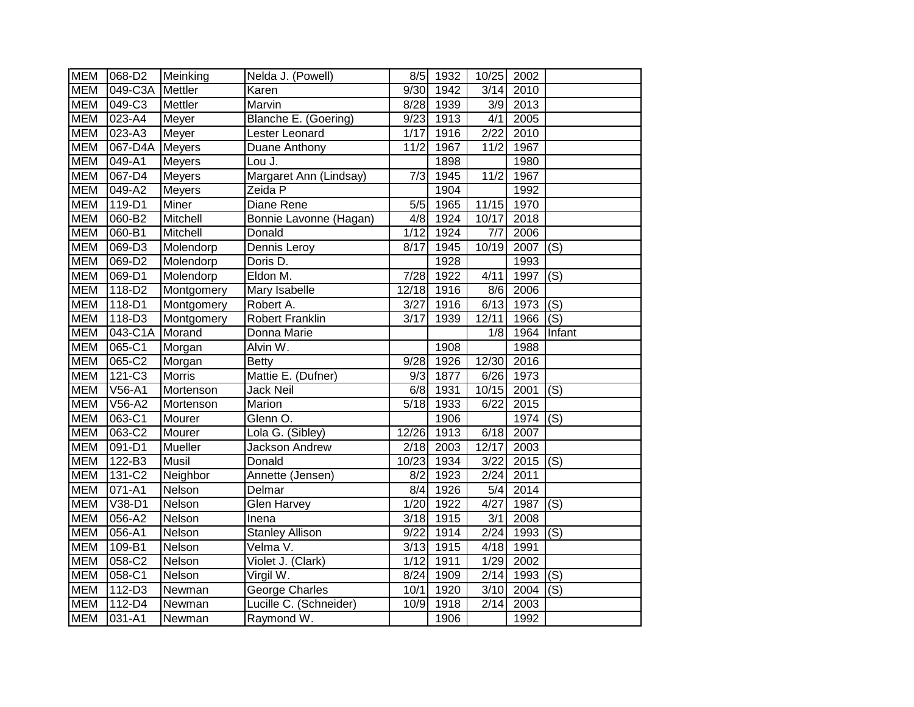| <b>MEM</b> | 068-D2                      | Meinking       | Nelda J. (Powell)      | 8/5    | 1932 | 10/25                     | 2002 |                           |
|------------|-----------------------------|----------------|------------------------|--------|------|---------------------------|------|---------------------------|
| <b>MEM</b> | $049-C3A$                   | Mettler        | Karen                  | 9/30   | 1942 | 3/14                      | 2010 |                           |
| <b>MEM</b> | 049-C3                      | <b>Mettler</b> | Marvin                 | 8/28   | 1939 | 3/9                       | 2013 |                           |
| <b>MEM</b> | 023-A4                      | Meyer          | Blanche E. (Goering)   | 9/23   | 1913 | 4/1                       | 2005 |                           |
| <b>MEM</b> | 023-A3                      | Meyer          | Lester Leonard         | 1/17   | 1916 | 2/22                      | 2010 |                           |
| <b>MEM</b> | 067-D4A Meyers              |                | Duane Anthony          | 11/2   | 1967 | 11/2                      | 1967 |                           |
| <b>MEM</b> | 049-A1                      | <b>Meyers</b>  | Lou J.                 |        | 1898 |                           | 1980 |                           |
| <b>MEM</b> | $067 - D4$                  | <b>Meyers</b>  | Margaret Ann (Lindsay) | 7/3    | 1945 | 11/2                      | 1967 |                           |
| <b>MEM</b> | $049-A2$                    | <b>Meyers</b>  | Zeida P                |        | 1904 |                           | 1992 |                           |
| <b>MEM</b> | $119 - D1$                  | Miner          | Diane Rene             | 5/5    | 1965 | 11/15                     | 1970 |                           |
| <b>MEM</b> | 060-B2                      | Mitchell       | Bonnie Lavonne (Hagan) | 4/8    | 1924 | 10/17                     | 2018 |                           |
| <b>MEM</b> | 060-B1                      | Mitchell       | Donald                 | $1/12$ | 1924 | 7/7                       | 2006 |                           |
| <b>MEM</b> | 069-D3                      | Molendorp      | Dennis Leroy           | 8/17   | 1945 | 10/19                     | 2007 | (S)                       |
| <b>MEM</b> | 069-D2                      | Molendorp      | Doris D.               |        | 1928 |                           | 1993 |                           |
| <b>MEM</b> | 069-D1                      | Molendorp      | Eldon M.               | 7/28   | 1922 | 4/11                      | 1997 | (S)                       |
| <b>MEM</b> | 118-D2                      | Montgomery     | <b>Mary Isabelle</b>   | 12/18  | 1916 | $\frac{8}{6}$             | 2006 |                           |
| <b>MEM</b> | $118 - D1$                  | Montgomery     | Robert A.              | 3/27   | 1916 | 6/13                      | 1973 | $\overline{(\mathsf{S})}$ |
| <b>MEM</b> | 118-D3                      | Montgomery     | <b>Robert Franklin</b> | 3/17   | 1939 | 12/11                     | 1966 | $\overline{(\mathsf{S})}$ |
| <b>MEM</b> | 043-C1A                     | Morand         | Donna Marie            |        |      | 1/8                       | 1964 | Infant                    |
| <b>MEM</b> | 065-C1                      | Morgan         | Alvin W.               |        | 1908 |                           | 1988 |                           |
| <b>MEM</b> | 065-C2                      | Morgan         | <b>Betty</b>           | 9/28   | 1926 | 12/30                     | 2016 |                           |
| <b>MEM</b> | $121-C3$                    | <b>Morris</b>  | Mattie E. (Dufner)     | 9/3    | 1877 | 6/26                      | 1973 |                           |
| <b>MEM</b> | V56-A1                      | Mortenson      | <b>Jack Neil</b>       | 6/8    | 1931 | 10/15                     | 2001 | (S)                       |
| <b>MEM</b> | V56-A2                      | Mortenson      | Marion                 | 5/18   | 1933 | 6/22                      | 2015 |                           |
| <b>MEM</b> | 063-C1                      | Mourer         | Glenn O.               |        | 1906 |                           | 1974 | $\overline{(\mathsf{S})}$ |
| <b>MEM</b> | 063-C2                      | Mourer         | Lola G. (Sibley)       | 12/26  | 1913 | 6/18                      | 2007 |                           |
| <b>MEM</b> | $091 - D1$                  | Mueller        | Jackson Andrew         | 2/18   | 2003 | 12/17                     | 2003 |                           |
| <b>MEM</b> | 122-B3                      | Musil          | Donald                 | 10/23  | 1934 | $\overline{\frac{3}{22}}$ | 2015 | $\overline{(\mathsf{S})}$ |
| <b>MEM</b> | 131-C2                      | Neighbor       | Annette (Jensen)       | 8/2    | 1923 | 2/24                      | 2011 |                           |
| <b>MEM</b> | $071 - A1$                  | Nelson         | Delmar                 | 8/4    | 1926 | 5/4                       | 2014 |                           |
| <b>MEM</b> | $\overline{\text{V38}}$ -D1 | <b>Nelson</b>  | Glen Harvey            | 1/20   | 1922 | 4/27                      | 1987 | $\overline{(\mathsf{S})}$ |
| <b>MEM</b> | $056 - A2$                  | Nelson         | Inena                  | 3/18   | 1915 | 3/1                       | 2008 |                           |
| <b>MEM</b> | 056-A1                      | Nelson         | <b>Stanley Allison</b> | 9/22   | 1914 | 2/24                      | 1993 | (S)                       |
| <b>MEM</b> | 109-B1                      | Nelson         | Velma V.               | 3/13   | 1915 | 4/18                      | 1991 |                           |
| <b>MEM</b> | 058-C2                      | Nelson         | Violet J. (Clark)      | $1/12$ | 1911 | 1/29                      | 2002 |                           |
| <b>MEM</b> | 058-C1                      | Nelson         | Virgil W.              | 8/24   | 1909 | 2/14                      | 1993 | (S)                       |
| <b>MEM</b> | 112-D3                      | Newman         | George Charles         | 10/1   | 1920 | 3/10                      | 2004 | (S)                       |
| <b>MEM</b> | 112-D4                      | Newman         | Lucille C. (Schneider) | 10/9   | 1918 | 2/14                      | 2003 |                           |
| <b>MEM</b> | 031-A1                      | Newman         | Raymond W.             |        | 1906 |                           | 1992 |                           |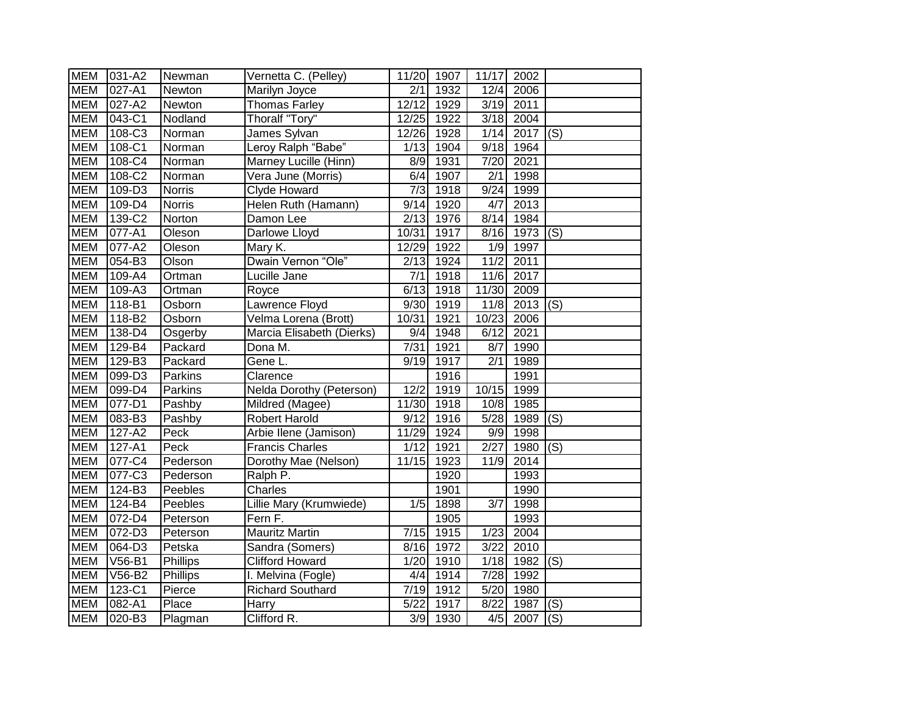| <b>MEM</b> | 031-A2     | Newman         | Vernetta C. (Pelley)      | 11/20            | 1907              | 11/17             | 2002       |                           |
|------------|------------|----------------|---------------------------|------------------|-------------------|-------------------|------------|---------------------------|
| <b>MEM</b> | 027-A1     | Newton         | Marilyn Joyce             | 2/1              | 1932              | 12/4              | 2006       |                           |
| <b>MEM</b> | 027-A2     | Newton         | <b>Thomas Farley</b>      | 12/12            | 1929              | 3/19              | 2011       |                           |
| <b>MEM</b> | 043-C1     | Nodland        | Thoralf "Tory"            | 12/25            | 1922              | 3/18              | 2004       |                           |
| <b>MEM</b> | 108-C3     | Norman         | James Sylvan              | 12/26            | 1928              | 1/14              | 2017       | $\overline{(\mathsf{S})}$ |
| <b>MEM</b> | 108-C1     | Norman         | Leroy Ralph "Babe"        | 1/13             | 1904              | 9/18              | 1964       |                           |
| <b>MEM</b> | 108-C4     | Norman         | Marney Lucille (Hinn)     | 8/9              | 1931              | 7/20              | 2021       |                           |
| <b>MEM</b> | 108-C2     | Norman         | Vera June (Morris)        | 6/4              | 1907              | $\overline{2/1}$  | 1998       |                           |
| <b>MEM</b> | 109-D3     | <b>Norris</b>  | Clyde Howard              | 7/3              | 1918              | 9/24              | 1999       |                           |
| <b>MEM</b> | 109-D4     | <b>Norris</b>  | Helen Ruth (Hamann)       | 9/14             | 1920              | 4/7               | 2013       |                           |
| <b>MEM</b> | 139-C2     | Norton         | Damon Lee                 | 2/13             | 1976              | 8/14              | 1984       |                           |
| <b>MEM</b> | 077-A1     | Oleson         | Darlowe Lloyd             | 10/31            | 1917              | 8/16              | 1973       | (S)                       |
| <b>MEM</b> | 077-A2     | Oleson         | Mary K.                   | 12/29            | 1922              | 1/9               | 1997       |                           |
| <b>MEM</b> | 054-B3     | Olson          | Dwain Vernon "Ole"        | 2/13             | 1924              | $\overline{1}1/2$ | 2011       |                           |
| <b>MEM</b> | 109-A4     | Ortman         | Lucille Jane              | 7/1              | 1918              | $\frac{11}{6}$    | 2017       |                           |
| <b>MEM</b> | 109-A3     | Ortman         | Royce                     | 6/13             | 1918              | 11/30             | 2009       |                           |
| <b>MEM</b> | 118-B1     | Osborn         | Lawrence Floyd            | 9/30             | 1919              | 11/8              | 2013       | $\overline{(\mathsf{S})}$ |
| <b>MEM</b> | 118-B2     | Osborn         | Velma Lorena (Brott)      | 10/31            | 1921              | 10/23             | 2006       |                           |
| <b>MEM</b> | 138-D4     | Osgerby        | Marcia Elisabeth (Dierks) | 9/4              | 1948              | 6/12              | 2021       |                           |
| <b>MEM</b> | 129-B4     | Packard        | Dona M.                   | 7/31             | 1921              | 8/7               | 1990       |                           |
| <b>MEM</b> | 129-B3     | Packard        | Gene L.                   | 9/19             | 1917              | $\overline{2/1}$  | 1989       |                           |
| <b>MEM</b> | 099-D3     | <b>Parkins</b> | Clarence                  |                  | 1916              |                   | 1991       |                           |
| <b>MEM</b> | 099-D4     | Parkins        | Nelda Dorothy (Peterson)  | 12/2             | 1919              | 10/15             | 1999       |                           |
| <b>MEM</b> | 077-D1     | Pashby         | Mildred (Magee)           | 11/30            | 1918              | 10/8              | 1985       |                           |
| <b>MEM</b> | 083-B3     | Pashby         | Robert Harold             | 9/12             | 1916              | 5/28              | 1989       | (S)                       |
| <b>MEM</b> | 127-A2     | Peck           | Arbie Ilene (Jamison)     | 11/29            | $\overline{19}24$ | 9/9               | 1998       |                           |
| <b>MEM</b> | $127 - A1$ | Peck           | <b>Francis Charles</b>    | 1/12             | 1921              | 2/27              | 1980       | (S)                       |
| <b>MEM</b> | 077-C4     | Pederson       | Dorothy Mae (Nelson)      | 11/15            | 1923              | 11/9              | 2014       |                           |
| <b>MEM</b> | 077-C3     | Pederson       | Ralph P.                  |                  | 1920              |                   | 1993       |                           |
| <b>MEM</b> | 124-B3     | Peebles        | Charles                   |                  | 1901              |                   | 1990       |                           |
| <b>MEM</b> | 124-B4     | Peebles        | Lillie Mary (Krumwiede)   | 1/5              | 1898              | $\overline{3/7}$  | 1998       |                           |
| <b>MEM</b> | 072-D4     | Peterson       | Fern F.                   |                  | 1905              |                   | 1993       |                           |
| <b>MEM</b> | 072-D3     | Peterson       | <b>Mauritz Martin</b>     | 7/15             | 1915              | 1/23              | 2004       |                           |
| <b>MEM</b> | 064-D3     | Petska         | Sandra (Somers)           | 8/16             | 1972              | 3/22              | 2010       |                           |
| <b>MEM</b> | V56-B1     | Phillips       | <b>Clifford Howard</b>    | 1/20             | 1910              | 1/18              | 1982       | (S)                       |
| <b>MEM</b> | V56-B2     | Phillips       | I. Melvina (Fogle)        | 4/4              | 1914              | 7/28              | 1992       |                           |
| <b>MEM</b> | 123-C1     | Pierce         | <b>Richard Southard</b>   | 7/19             | 1912              | 5/20              | 1980       |                           |
| <b>MEM</b> | 082-A1     | Place          | Harry                     | 5/22             | 1917              | 8/22              | 1987       | (S)                       |
| <b>MEM</b> | 020-B3     | Plagman        | Clifford R.               | $\overline{3}/9$ | 1930              |                   | $4/5$ 2007 | (S)                       |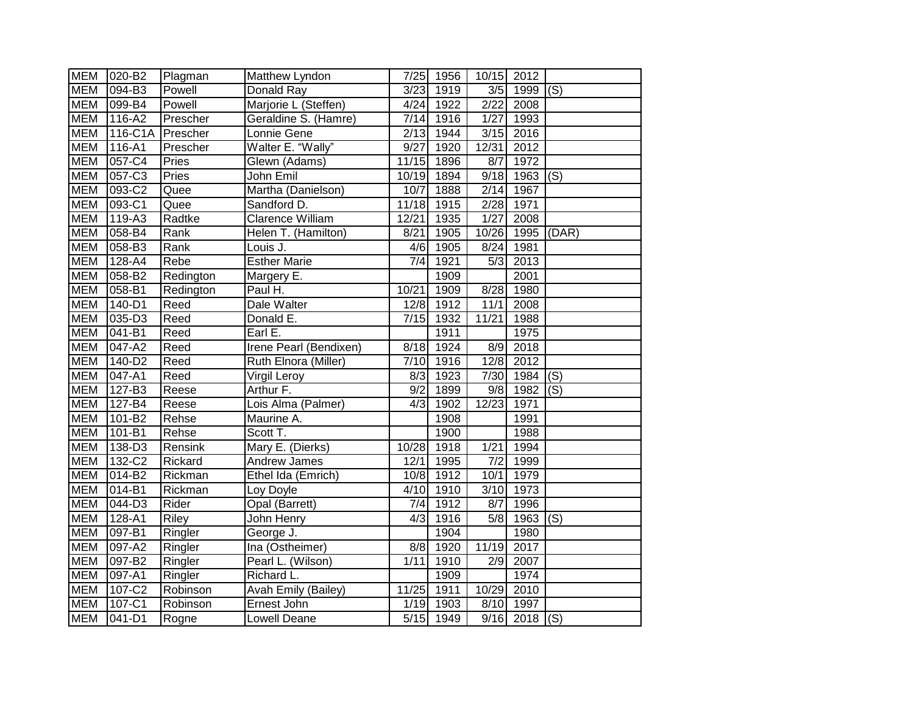| <b>MEM</b> | 020-B2                           | Plagman   | Matthew Lyndon         | 7/25             | 1956 | 10/15 2012        |                 |       |
|------------|----------------------------------|-----------|------------------------|------------------|------|-------------------|-----------------|-------|
| <b>MEM</b> | $\overline{094}$ -B <sub>3</sub> | Powell    | Donald Ray             | 3/23             | 1919 | $\overline{3/5}$  | 1999            | (S)   |
| <b>MEM</b> | 099-B4                           | Powell    | Marjorie L (Steffen)   | 4/24             | 1922 | 2/22              | 2008            |       |
| <b>MEM</b> | 116-A2                           | Prescher  | Geraldine S. (Hamre)   | 7/14             | 1916 | 1/27              | 1993            |       |
| <b>MEM</b> | 116-C1A                          | Prescher  | Lonnie Gene            | 2/13             | 1944 | $\overline{3/15}$ | 2016            |       |
| <b>MEM</b> | $\overline{116} - A1$            | Prescher  | Walter E. "Wally"      | 9/27             | 1920 | 12/31             | 2012            |       |
| <b>MEM</b> | 057-C4                           | Pries     | Glewn (Adams)          | 11/15            | 1896 | 8/7               | 1972            |       |
| <b>MEM</b> | 057-C3                           | Pries     | John Emil              | 10/19            | 1894 | 9/18              | 1963            | (S)   |
| <b>MEM</b> | 093-C2                           | Quee      | Martha (Danielson)     | 10/7             | 1888 | 2/14              | 1967            |       |
| <b>MEM</b> | 093-C1                           | Quee      | Sandford D.            | 11/18            | 1915 | 2/28              | 1971            |       |
| <b>MEM</b> | 119-A3                           | Radtke    | Clarence William       | 12/21            | 1935 | 1/27              | 2008            |       |
| <b>MEM</b> | 058-B4                           | Rank      | Helen T. (Hamilton)    | 8/21             | 1905 | 10/26             | 1995            | (DAR) |
| <b>MEM</b> | 058-B3                           | Rank      | Louis J.               | $\overline{4}/6$ | 1905 | 8/24              | 1981            |       |
| <b>MEM</b> | 128-A4                           | Rebe      | <b>Esther Marie</b>    | $\overline{7/4}$ | 1921 | $\overline{5/3}$  | 2013            |       |
| <b>MEM</b> | 058-B2                           | Redington | Margery E.             |                  | 1909 |                   | 2001            |       |
| <b>MEM</b> | 058-B1                           | Redington | Paul H.                | 10/21            | 1909 | 8/28              | 1980            |       |
| <b>MEM</b> | 140-D1                           | Reed      | Dale Walter            | 12/8             | 1912 | 11/1              | 2008            |       |
| <b>MEM</b> | 035-D3                           | Reed      | Donald E.              | 7/15             | 1932 | 11/21             | 1988            |       |
| <b>MEM</b> | $041 - B1$                       | Reed      | Earl E.                |                  | 1911 |                   | 1975            |       |
| <b>MEM</b> | 047-A2                           | Reed      | Irene Pearl (Bendixen) | 8/18             | 1924 | $\overline{8/9}$  | 2018            |       |
| <b>MEM</b> | 140-D2                           | Reed      | Ruth Elnora (Miller)   | 7/10             | 1916 | 12/8              | 2012            |       |
| <b>MEM</b> | 047-A1                           | Reed      | Virgil Leroy           | 8/3              | 1923 | 7/30              | 1984            | (S)   |
| <b>MEM</b> | 127-B3                           | Reese     | Arthur F.              | 9/2              | 1899 | 9/8               | 1982            | (S)   |
| <b>MEM</b> | 127-B4                           | Reese     | Lois Alma (Palmer)     | $\overline{4/3}$ | 1902 | 12/23             | 1971            |       |
| <b>MEM</b> | 101-B2                           | Rehse     | Maurine A.             |                  | 1908 |                   | 1991            |       |
| <b>MEM</b> | $101 - B1$                       | Rehse     | Scott T.               |                  | 1900 |                   | 1988            |       |
| <b>MEM</b> | 138-D3                           | Rensink   | Mary E. (Dierks)       | 10/28            | 1918 | 1/21              | 1994            |       |
| <b>MEM</b> | 132-C2                           | Rickard   | Andrew James           | 12/1             | 1995 | 7/2               | 1999            |       |
| <b>MEM</b> | 014-B2                           | Rickman   | Ethel Ida (Emrich)     | 10/8             | 1912 | 10/1              | 1979            |       |
| <b>MEM</b> | $014 - B1$                       | Rickman   | Loy Doyle              | 4/10             | 1910 | 3/10              | 1973            |       |
| <b>MEM</b> | 044-D3                           | Rider     | Opal (Barrett)         | 7/4              | 1912 | $8/\overline{7}$  | 1996            |       |
| <b>MEM</b> | $128 - A1$                       | Riley     | John Henry             | 4/3              | 1916 | 5/8               | 1963            | (S)   |
| <b>MEM</b> | 097-B1                           | Ringler   | George J.              |                  | 1904 |                   | 1980            |       |
| <b>MEM</b> | 097-A2                           | Ringler   | Ina (Ostheimer)        | 8/8              | 1920 | 11/19             | 2017            |       |
| <b>MEM</b> | 097-B2                           | Ringler   | Pearl L. (Wilson)      | 1/11             | 1910 | 2/9               | 2007            |       |
| <b>MEM</b> | 097-A1                           | Ringler   | Richard L.             |                  | 1909 |                   | 1974            |       |
| <b>MEM</b> | 107-C2                           | Robinson  | Avah Emily (Bailey)    | 11/25            | 1911 | 10/29             | 2010            |       |
| <b>MEM</b> | 107-C1                           | Robinson  | Ernest John            | 1/19             | 1903 | 8/10              | 1997            |       |
| <b>MEM</b> | $041 - D1$                       | Rogne     | <b>Lowell Deane</b>    | 5/15             | 1949 |                   | $9/16$ 2018 (S) |       |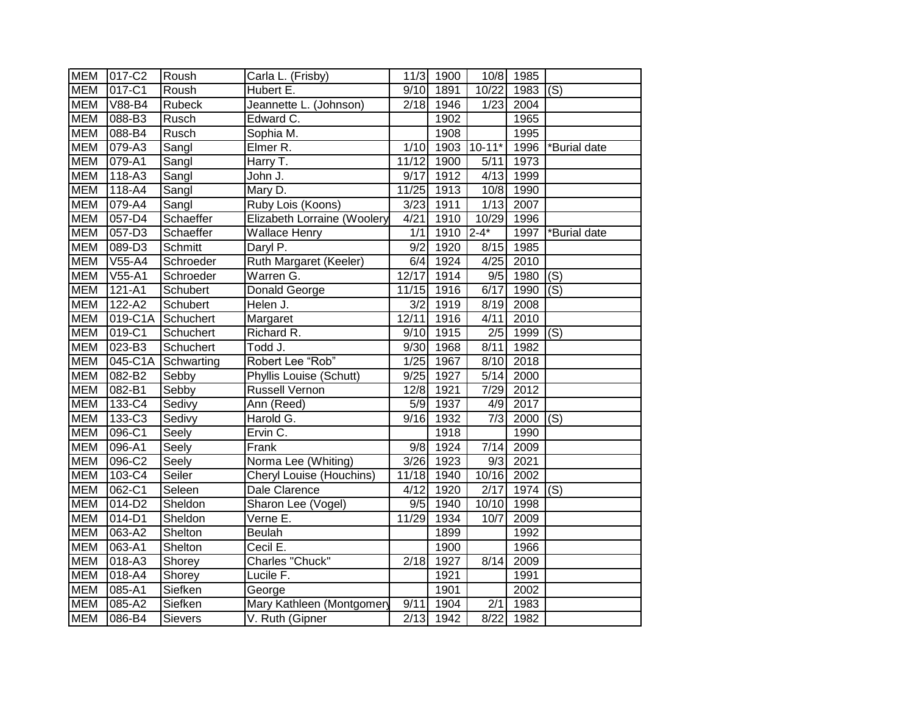| <b>MEM</b> | 017-C2     | Roush      | Carla L. (Frisby)               | 11/3             | 1900 | 10/8              | 1985 |                           |
|------------|------------|------------|---------------------------------|------------------|------|-------------------|------|---------------------------|
| <b>MEM</b> | 017-C1     | Roush      | Hubert E.                       | 9/10             | 1891 | 10/22             | 1983 | $\overline{(S)}$          |
| <b>MEM</b> | V88-B4     | Rubeck     | Jeannette L. (Johnson)          | 2/18             | 1946 | 1/23              | 2004 |                           |
| <b>MEM</b> | 088-B3     | Rusch      | Edward C.                       |                  | 1902 |                   | 1965 |                           |
| <b>MEM</b> | $088 - B4$ | Rusch      | Sophia M.                       |                  | 1908 |                   | 1995 |                           |
| <b>MEM</b> | 079-A3     | Sangl      | Elmer R.                        | 1/10             | 1903 | $10 - 11*$        | 1996 | *Burial date              |
| <b>MEM</b> | $079 - A1$ | Sangl      | Harry T.                        | 11/12            | 1900 | 5/11              | 1973 |                           |
| <b>MEM</b> | $118 - A3$ | Sangl      | John J.                         | 9/17             | 1912 | 4/13              | 1999 |                           |
| <b>MEM</b> | 118-A4     | Sangl      | Mary D.                         | 11/25            | 1913 | 10/8              | 1990 |                           |
| <b>MEM</b> | 079-A4     | Sangl      | Ruby Lois (Koons)               | 3/23             | 1911 | 1/13              | 2007 |                           |
| <b>MEM</b> | 057-D4     | Schaeffer  | Elizabeth Lorraine (Woolery     | 4/21             | 1910 | 10/29             | 1996 |                           |
| <b>MEM</b> | 057-D3     | Schaeffer  | <b>Wallace Henry</b>            | 1/1              | 1910 | $2 - 4*$          | 1997 | *Burial date              |
| <b>MEM</b> | 089-D3     | Schmitt    | Daryl P.                        | 9/2              | 1920 | 8/15              | 1985 |                           |
| <b>MEM</b> | V55-A4     | Schroeder  | Ruth Margaret (Keeler)          | 6/4              | 1924 | 4/25              | 2010 |                           |
| <b>MEM</b> | $V55 - A1$ | Schroeder  | Warren G.                       | 12/17            | 1914 | 9/5               | 1980 | (S)                       |
| <b>MEM</b> | $121 - A1$ | Schubert   | Donald George                   | 11/15            | 1916 | 6/17              | 1990 | $\overline{(\mathsf{S})}$ |
| <b>MEM</b> | $122 - A2$ | Schubert   | Helen J.                        | $\overline{3/2}$ | 1919 | 8/19              | 2008 |                           |
| <b>MEM</b> | 019-C1A    | Schuchert  | Margaret                        | 12/11            | 1916 | 4/11              | 2010 |                           |
| <b>MEM</b> | 019-C1     | Schuchert  | Richard R.                      | 9/10             | 1915 | 2/5               | 1999 | $\overline{(\mathsf{S})}$ |
| <b>MEM</b> | 023-B3     | Schuchert  | Todd J.                         | 9/30             | 1968 | 8/11              | 1982 |                           |
| <b>MEM</b> | 045-C1A    | Schwarting | Robert Lee "Rob"                | 1/25             | 1967 | 8/10              | 2018 |                           |
| <b>MEM</b> | 082-B2     | Sebby      | Phyllis Louise (Schutt)         | 9/25             | 1927 | 5/14              | 2000 |                           |
| <b>MEM</b> | 082-B1     | Sebby      | <b>Russell Vernon</b>           | 12/8             | 1921 | 7/29              | 2012 |                           |
| <b>MEM</b> | 133-C4     | Sedivy     | Ann (Reed)                      | $\overline{5/9}$ | 1937 | 4/9               | 2017 |                           |
| <b>MEM</b> | 133-C3     | Sedivy     | Harold G.                       | 9/16             | 1932 | $\overline{7/3}$  | 2000 | (S)                       |
| <b>MEM</b> | 096-C1     | Seely      | Ervin C.                        |                  | 1918 |                   | 1990 |                           |
| <b>MEM</b> | 096-A1     | Seely      | Frank                           | 9/8              | 1924 | $\overline{7/14}$ | 2009 |                           |
| <b>MEM</b> | 096-C2     | Seely      | Norma Lee (Whiting)             | 3/26             | 1923 | 9/3               | 2021 |                           |
| <b>MEM</b> | 103-C4     | Seiler     | <b>Cheryl Louise (Houchins)</b> | 11/18            | 1940 | 10/16             | 2002 |                           |
| <b>MEM</b> | 062-C1     | Seleen     | Dale Clarence                   | 4/12             | 1920 | $\sqrt{2/17}$     | 1974 | (S)                       |
| <b>MEM</b> | 014-D2     | Sheldon    | Sharon Lee (Vogel)              | 9/5              | 1940 | 10/10             | 1998 |                           |
| <b>MEM</b> | 014-D1     | Sheldon    | Verne E.                        | 11/29            | 1934 | 10/7              | 2009 |                           |
| <b>MEM</b> | $063 - A2$ | Shelton    | Beulah                          |                  | 1899 |                   | 1992 |                           |
| <b>MEM</b> | 063-A1     | Shelton    | Cecil E.                        |                  | 1900 |                   | 1966 |                           |
| <b>MEM</b> | 018-A3     | Shorey     | Charles "Chuck"                 | 2/18             | 1927 | 8/14              | 2009 |                           |
| <b>MEM</b> | 018-A4     | Shorey     | Lucile F.                       |                  | 1921 |                   | 1991 |                           |
| <b>MEM</b> | 085-A1     | Siefken    | George                          |                  | 1901 |                   | 2002 |                           |
| <b>MEM</b> | 085-A2     | Siefken    | Mary Kathleen (Montgomery       | 9/11             | 1904 | 2/1               | 1983 |                           |
| <b>MEM</b> | 086-B4     | Sievers    | V. Ruth (Gipner                 | 2/13             | 1942 | 8/22              | 1982 |                           |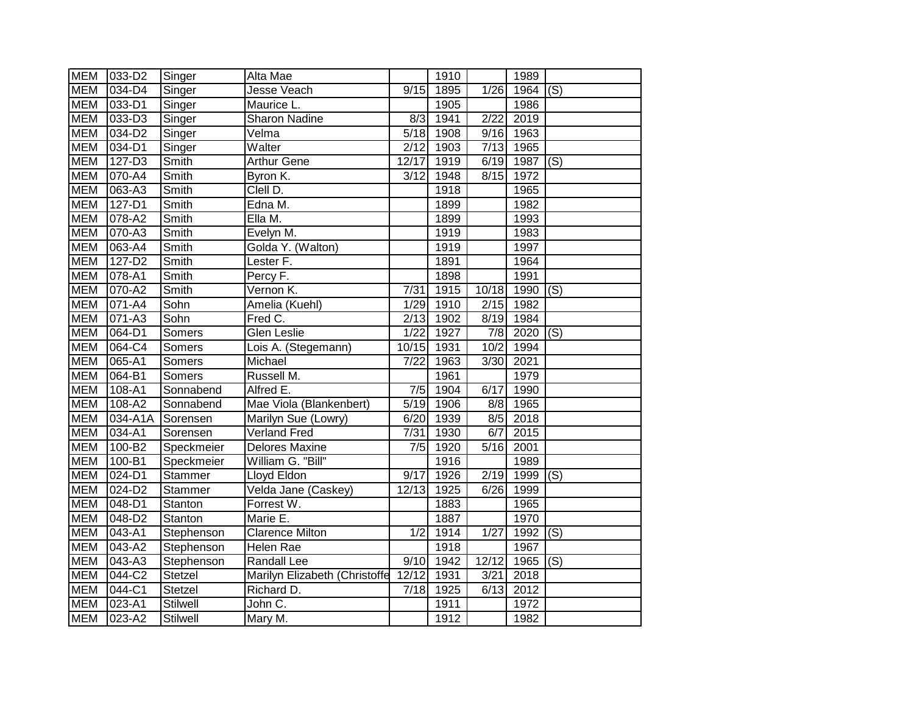| <b>MEM</b> | 033-D2                | Singer          | Alta Mae                      |       | 1910             |                  | 1989 |                           |
|------------|-----------------------|-----------------|-------------------------------|-------|------------------|------------------|------|---------------------------|
| <b>MEM</b> | 034-D4                | Singer          | Jesse Veach                   | 9/15  | 1895             | 1/26             | 1964 | (S)                       |
| <b>MEM</b> | 033-D1                | Singer          | Maurice L.                    |       | 1905             |                  | 1986 |                           |
| <b>MEM</b> | 033-D3                | Singer          | Sharon Nadine                 | 8/3   | 1941             | $\sqrt{2/22}$    | 2019 |                           |
| <b>MEM</b> | 034-D2                | Singer          | Velma                         | 5/18  | 1908             | 9/16             | 1963 |                           |
| <b>MEM</b> | 034-D1                | Singer          | Walter                        | 2/12  | 1903             | 7/13             | 1965 |                           |
| <b>MEM</b> | 127-D3                | Smith           | <b>Arthur Gene</b>            | 12/17 | 1919             | 6/19             | 1987 | $\overline{(\mathsf{S})}$ |
| <b>MEM</b> | 070-A4                | Smith           | Byron K.                      | 3/12  | $\frac{1}{1948}$ | 8/15             | 1972 |                           |
| <b>MEM</b> | 063-A3                | Smith           | Clell D.                      |       | 1918             |                  | 1965 |                           |
| <b>MEM</b> | $127 - D1$            | Smith           | Edna M.                       |       | 1899             |                  | 1982 |                           |
| <b>MEM</b> | 078-A2                | Smith           | Ella M.                       |       | 1899             |                  | 1993 |                           |
| <b>MEM</b> | 070-A3                | Smith           | Evelyn M.                     |       | 1919             |                  | 1983 |                           |
| <b>MEM</b> | 063-A4                | Smith           | Golda Y. (Walton)             |       | 1919             |                  | 1997 |                           |
| <b>MEM</b> | 127-D2                | Smith           | Lester F.                     |       | 1891             |                  | 1964 |                           |
| <b>MEM</b> | 078-A1                | Smith           | Percy F.                      |       | 1898             |                  | 1991 |                           |
| <b>MEM</b> | 070-A2                | Smith           | Vernon K.                     | 7/31  | 1915             | 10/18            | 1990 | (S)                       |
| <b>MEM</b> | 071-A4                | Sohn            | Amelia (Kuehl)                | 1/29  | 1910             | 2/15             | 1982 |                           |
| <b>MEM</b> | 071-A3                | Sohn            | Fred C.                       | 2/13  | 1902             | 8/19             | 1984 |                           |
| <b>MEM</b> | 064-D1                | Somers          | <b>Glen Leslie</b>            | 1/22  | 1927             | $\overline{7/8}$ | 2020 | (S)                       |
| <b>MEM</b> | 064-C4                | Somers          | Lois A. (Stegemann)           | 10/15 | 1931             | 10/2             | 1994 |                           |
| <b>MEM</b> | 065-A1                | Somers          | Michael                       | 7/22  | 1963             | 3/30             | 2021 |                           |
| <b>MEM</b> | 064-B1                | <b>Somers</b>   | Russell M.                    |       | 1961             |                  | 1979 |                           |
| <b>MEM</b> | 108-A1                | Sonnabend       | Alfred E.                     | 7/5   | 1904             | 6/17             | 1990 |                           |
| <b>MEM</b> | 108-A2                | Sonnabend       | Mae Viola (Blankenbert)       | 5/19  | 1906             | 8/8              | 1965 |                           |
| <b>MEM</b> | 034-A1A               | Sorensen        | Marilyn Sue (Lowry)           | 6/20  | 1939             | 8/5              | 2018 |                           |
| <b>MEM</b> | 034-A1                | Sorensen        | <b>Verland Fred</b>           | 7/31  | 1930             | 6/7              | 2015 |                           |
| <b>MEM</b> | 100-B2                | Speckmeier      | <b>Delores Maxine</b>         | 7/5   | 1920             | 5/16             | 2001 |                           |
| <b>MEM</b> | 100-B1                | Speckmeier      | William G. "Bill"             |       | 1916             |                  | 1989 |                           |
| <b>MEM</b> | 024-D1                | Stammer         | Lloyd Eldon                   | 9/17  | 1926             | 2/19             | 1999 | (S)                       |
| <b>MEM</b> | 024-D2                | Stammer         | Velda Jane (Caskey)           | 12/13 | 1925             | 6/26             | 1999 |                           |
| <b>MEM</b> | $\overline{048} - D1$ | Stanton         | Forrest W.                    |       | 1883             |                  | 1965 |                           |
| <b>MEM</b> | 048-D2                | Stanton         | Marie E.                      |       | 1887             |                  | 1970 |                           |
| <b>MEM</b> | 043-A1                | Stephenson      | <b>Clarence Milton</b>        | 1/2   | 1914             | 1/27             | 1992 | (S)                       |
| <b>MEM</b> | 043-A2                | Stephenson      | Helen Rae                     |       | 1918             |                  | 1967 |                           |
| <b>MEM</b> | 043-A3                | Stephenson      | Randall Lee                   | 9/10  | 1942             | 12/12            | 1965 | (S)                       |
| <b>MEM</b> | 044-C2                | Stetzel         | Marilyn Elizabeth (Christoffe | 12/12 | 1931             | 3/21             | 2018 |                           |
| <b>MEM</b> | 044-C1                | Stetzel         | Richard D.                    | 7/18  | 1925             | 6/13             | 2012 |                           |
| <b>MEM</b> | $023 - A1$            | <b>Stilwell</b> | John C.                       |       | 1911             |                  | 1972 |                           |
| <b>MEM</b> | 023-A2                | <b>Stilwell</b> | Mary M.                       |       | 1912             |                  | 1982 |                           |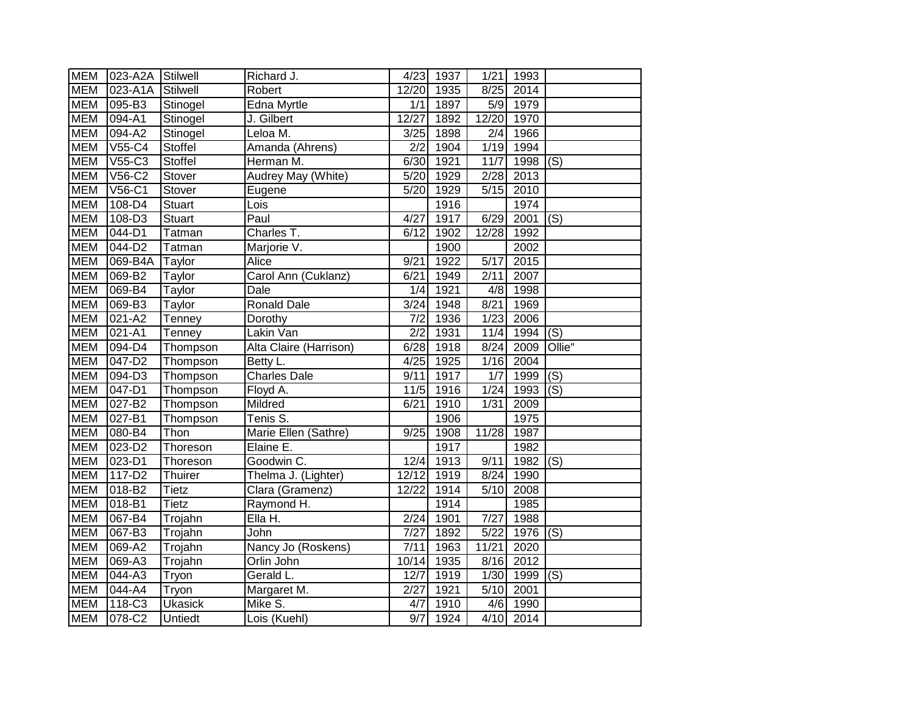| <b>MEM</b> | 023-A2A Stilwell     |                | Richard J.             |                   | 4/23 1937 | 1/21              | 1993      |                  |
|------------|----------------------|----------------|------------------------|-------------------|-----------|-------------------|-----------|------------------|
| <b>MEM</b> | 023-A1A              | Stilwell       | Robert                 | 12/20             | 1935      | 8/25              | 2014      |                  |
| <b>MEM</b> | 095-B3               | Stinogel       | Edna Myrtle            | 1/1               | 1897      | 5/9               | 1979      |                  |
| <b>MEM</b> | 094-A1               | Stinogel       | J. Gilbert             | 12/27             | 1892      | 12/20             | 1970      |                  |
| <b>MEM</b> | $\overline{094}$ -A2 | Stinogel       | Leloa M.               | 3/25              | 1898      | $\overline{2/4}$  | 1966      |                  |
| <b>MEM</b> | V55-C4               | <b>Stoffel</b> | Amanda (Ahrens)        | 2/2               | 1904      | 1/19              | 1994      |                  |
| <b>MEM</b> | V55-C3               | Stoffel        | Herman M.              | 6/30              | 1921      | 11/7              | 1998      | (S)              |
| <b>MEM</b> | $V56-C2$             | Stover         | Audrey May (White)     | 5/20              | 1929      | $\sqrt{2/28}$     | 2013      |                  |
| <b>MEM</b> | V56-C1               | Stover         | Eugene                 | 5/20              | 1929      | 5/15              | 2010      |                  |
| <b>MEM</b> | 108-D4               | <b>Stuart</b>  | Lois                   |                   | 1916      |                   | 1974      |                  |
| <b>MEM</b> | 108-D3               | <b>Stuart</b>  | Paul                   | 4/27              | 1917      | 6/29              | 2001      | (S)              |
| <b>MEM</b> | 044-D1               | Tatman         | Charles T.             | 6/12              | 1902      | 12/28             | 1992      |                  |
| <b>MEM</b> | 044-D2               | Tatman         | Marjorie V.            |                   | 1900      |                   | 2002      |                  |
| <b>MEM</b> | 069-B4A              | Taylor         | Alice                  | 9/21              | 1922      | 5/17              | 2015      |                  |
| <b>MEM</b> | 069-B2               | Taylor         | Carol Ann (Cuklanz)    | 6/21              | 1949      | 2/11              | 2007      |                  |
| <b>MEM</b> | 069-B4               | Taylor         | Dale                   | 1/4               | 1921      | 4/8               | 1998      |                  |
| <b>MEM</b> | 069-B3               | Taylor         | <b>Ronald Dale</b>     | 3/24              | 1948      | 8/21              | 1969      |                  |
| <b>MEM</b> | $021 - A2$           | Tenney         | Dorothy                | 7/2               | 1936      | 1/23              | 2006      |                  |
| <b>MEM</b> | 021-A1               | Tenney         | Lakin Van              | $\overline{2/2}$  | 1931      | 11/4              | 1994      | $\overline{(S)}$ |
| <b>MEM</b> | 094-D4               | Thompson       | Alta Claire (Harrison) | 6/28              | 1918      | 8/24              | 2009      | Ollie"           |
| <b>MEM</b> | 047-D2               | Thompson       | Betty L.               | 4/25              | 1925      | 1/16              | 2004      |                  |
| <b>MEM</b> | 094-D3               | Thompson       | <b>Charles Dale</b>    | 9/11              | 1917      | $\overline{1/7}$  | 1999      | (S)              |
| <b>MEM</b> | 047-D1               | Thompson       | Floyd A.               | $11/5$            | 1916      | 1/24              | 1993      | (S)              |
| <b>MEM</b> | 027-B2               | Thompson       | Mildred                | 6/21              | 1910      | 1/31              | 2009      |                  |
| <b>MEM</b> | 027-B1               | Thompson       | Tenis S.               |                   | 1906      |                   | 1975      |                  |
| <b>MEM</b> | 080-B4               | Thon           | Marie Ellen (Sathre)   | 9/25              | 1908      | 11/28             | 1987      |                  |
| <b>MEM</b> | 023-D2               | Thoreson       | Elaine E.              |                   | 1917      |                   | 1982      |                  |
| <b>MEM</b> | 023-D1               | Thoreson       | Goodwin C.             | 12/4              | 1913      | 9/11              | 1982      | (S)              |
| <b>MEM</b> | 117-D2               | Thuirer        | Thelma J. (Lighter)    | 12/12             | 1919      | 8/24              | 1990      |                  |
| <b>MEM</b> | $018 - B2$           | <b>Tietz</b>   | Clara (Gramenz)        | 12/22             | 1914      | $\overline{5/10}$ | 2008      |                  |
| <b>MEM</b> | 018-B1               | <b>Tietz</b>   | Raymond H.             |                   | 1914      |                   | 1985      |                  |
| <b>MEM</b> | 067-B4               | Trojahn        | Ella H.                | 2/24              | 1901      | 7/27              | 1988      |                  |
| <b>MEM</b> | 067-B3               | Trojahn        | John                   | 7/27              | 1892      | $\overline{5/22}$ | 1976      | (S)              |
| <b>MEM</b> | 069-A2               | Trojahn        | Nancy Jo (Roskens)     | 7/11              | 1963      | 11/21             | 2020      |                  |
| <b>MEM</b> | 069-A3               | Trojahn        | Orlin John             | 10/14             | 1935      | 8/16              | 2012      |                  |
| <b>MEM</b> | 044-A3               | Tryon          | Gerald L.              | 12/7              | 1919      | 1/30              | 1999      | (S)              |
| <b>MEM</b> | 044-A4               | Tryon          | Margaret M.            | $\overline{2}/27$ | 1921      | 5/10              | 2001      |                  |
| <b>MEM</b> | 118-C3               | Ukasick        | Mike S.                | 4/7               | 1910      | 4/6               | 1990      |                  |
| <b>MEM</b> | 078-C2               | Untiedt        | Lois (Kuehl)           | 9/7               | 1924      |                   | 4/10 2014 |                  |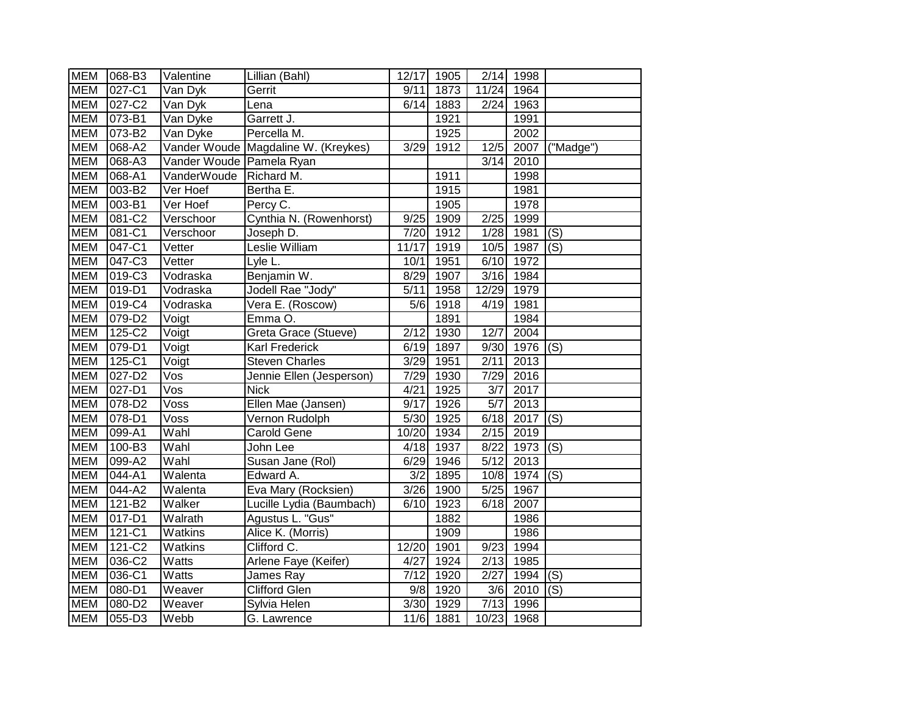| <b>MEM</b> | 068-B3                | Valentine                  | Lillian (Bahl)                      |                  | 12/17 1905 | 2/14              | 1998 |                        |
|------------|-----------------------|----------------------------|-------------------------------------|------------------|------------|-------------------|------|------------------------|
| <b>MEM</b> | 027-C1                | Van Dyk                    | Gerrit                              | 9/11             | 1873       | 11/24             | 1964 |                        |
| <b>MEM</b> | 027-C2                | Van Dyk                    | Lena                                | 6/14             | 1883       | 2/24              | 1963 |                        |
| <b>MEM</b> | 073-B1                | Van Dyke                   | Garrett J.                          |                  | 1921       |                   | 1991 |                        |
| <b>MEM</b> | 073-B2                | Van Dyke                   | Percella M.                         |                  | 1925       |                   | 2002 |                        |
| <b>MEM</b> | 068-A2                |                            | Vander Woude Magdaline W. (Kreykes) | 3/29             | 1912       | 12/5              | 2007 | $\overline{('Madge')}$ |
| <b>MEM</b> | 068-A3                | Vander Woude Pamela Ryan   |                                     |                  |            | 3/14              | 2010 |                        |
| <b>MEM</b> | 068-A1                | VanderWoude                | Richard M.                          |                  | 1911       |                   | 1998 |                        |
| <b>MEM</b> | 003-B2                | Ver Hoef                   | Bertha E.                           |                  | 1915       |                   | 1981 |                        |
| <b>MEM</b> | 003-B1                | Ver Hoef                   | Percy C.                            |                  | 1905       |                   | 1978 |                        |
| <b>MEM</b> | 081-C2                | Verschoor                  | Cynthia N. (Rowenhorst)             | 9/25             | 1909       | 2/25              | 1999 |                        |
| <b>MEM</b> | 081-C1                | Verschoor                  | Joseph D.                           | 7/20             | 1912       | 1/28              | 1981 | (S)                    |
| <b>MEM</b> | 047-C1                | Vetter                     | Leslie William                      | 11/17            | 1919       | 10/5              | 1987 | (S)                    |
| <b>MEM</b> | 047-C3                | Vetter                     | Lyle L.                             | 10/1             | 1951       | 6/10              | 1972 |                        |
| <b>MEM</b> | 019-C3                | Vodraska                   | Benjamin W.                         | 8/29             | 1907       | 3/16              | 1984 |                        |
| <b>MEM</b> | 019-D1                | Vodraska                   | Jodell Rae "Jody"                   | 5/11             | 1958       | 12/29             | 1979 |                        |
| <b>MEM</b> | 019-C4                | Vodraska                   | Vera E. (Roscow)                    | 5/6              | 1918       | 4/19              | 1981 |                        |
| <b>MEM</b> | 079-D2                | Voigt                      | Emma O.                             |                  | 1891       |                   | 1984 |                        |
| <b>MEM</b> | 125-C2                | $\overline{\text{Vo}}$ igt | Greta Grace (Stueve)                | 2/12             | 1930       | 12/7              | 2004 |                        |
| <b>MEM</b> | 079-D1                | Voigt                      | <b>Karl Frederick</b>               | 6/19             | 1897       | 9/30              | 1976 | (S)                    |
| <b>MEM</b> | 125-C1                | Voigt                      | <b>Steven Charles</b>               | 3/29             | 1951       | 2/11              | 2013 |                        |
| <b>MEM</b> | 027-D2                | Vos                        | Jennie Ellen (Jesperson)            | 7/29             | 1930       | 7/29              | 2016 |                        |
| <b>MEM</b> | 027-D1                | Vos                        | <b>Nick</b>                         | 4/21             | 1925       | $\overline{3/7}$  | 2017 |                        |
| <b>MEM</b> | 078-D2                | Voss                       | Ellen Mae (Jansen)                  | 9/17             | 1926       | $\overline{5/7}$  | 2013 |                        |
| <b>MEM</b> | 078-D1                | Voss                       | Vernon Rudolph                      | 5/30             | 1925       | 6/18              | 2017 | $\overline{S}(s)$      |
| <b>MEM</b> | 099-A1                | Wahl                       | Carold Gene                         | 10/20            | 1934       | $\sqrt{2/15}$     | 2019 |                        |
| <b>MEM</b> | 100-B3                | Wahl                       | John Lee                            | 4/18             | 1937       | 8/22              | 1973 | (S)                    |
| <b>MEM</b> | 099-A2                | Wahl                       | Susan Jane (Rol)                    | 6/29             | 1946       | $\overline{5/12}$ | 2013 |                        |
| <b>MEM</b> | 044-A1                | Walenta                    | Edward A.                           | $\overline{3/2}$ | 1895       | 10/8              | 1974 | (S)                    |
| <b>MEM</b> | $\overline{044}$ -A2  | Walenta                    | Eva Mary (Rocksien)                 | 3/26             | 1900       | $\frac{1}{5}{25}$ | 1967 |                        |
| <b>MEM</b> | 121-B2                | Walker                     | Lucille Lydia (Baumbach)            | 6/10             | 1923       | 6/18              | 2007 |                        |
| <b>MEM</b> | $\overline{017} - D1$ | Walrath                    | Agustus L. "Gus"                    |                  | 1882       |                   | 1986 |                        |
| <b>MEM</b> | $121 - C1$            | Watkins                    | Alice K. (Morris)                   |                  | 1909       |                   | 1986 |                        |
| <b>MEM</b> | 121-C2                | Watkins                    | Clifford C.                         | 12/20            | 1901       | 9/23              | 1994 |                        |
| <b>MEM</b> | 036-C2                | Watts                      | Arlene Faye (Keifer)                | 4/27             | 1924       | 2/13              | 1985 |                        |
| <b>MEM</b> | 036-C1                | Watts                      | James Ray                           | 7/12             | 1920       | $\sqrt{2/27}$     | 1994 | (S)                    |
| <b>MEM</b> | 080-D1                | Weaver                     | <b>Clifford Glen</b>                | 9/8              | 1920       | 3/6               | 2010 | (S)                    |
| <b>MEM</b> | 080-D2                | Weaver                     | Sylvia Helen                        | 3/30             | 1929       | 7/13              | 1996 |                        |
| <b>MEM</b> | 055-D3                | Webb                       | G. Lawrence                         | 11/6             | 1881       | 10/23             | 1968 |                        |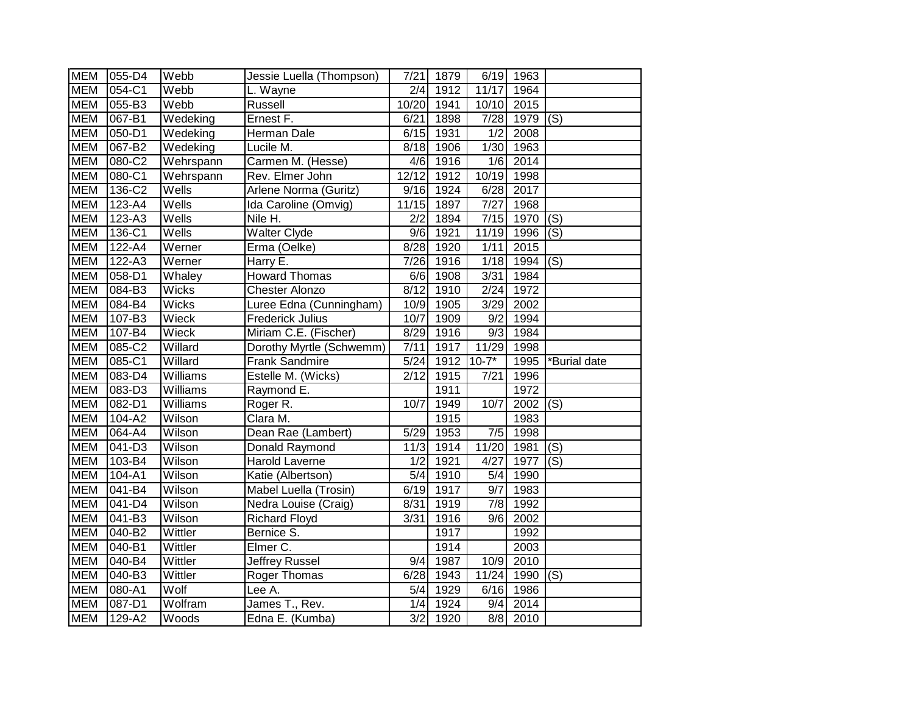| <b>MEM</b> | 055-D4              | Webb                            | Jessie Luella (Thompson) | 7/21  | 1879              |                   | 6/19 1963 |                   |
|------------|---------------------|---------------------------------|--------------------------|-------|-------------------|-------------------|-----------|-------------------|
| <b>MEM</b> | 054-C1              | Webb                            | L. Wayne                 | 2/4   | $\overline{19}12$ | 11/17             | 1964      |                   |
| <b>MEM</b> | 055-B3              | Webb                            | Russell                  | 10/20 | 1941              | 10/10             | 2015      |                   |
| <b>MEM</b> | 067-B1              | Wedeking                        | Ernest F.                | 6/21  | 1898              | 7/28              | 1979      | (S)               |
| <b>MEM</b> | 050-D1              | Wedeking                        | Herman Dale              | 6/15  | 1931              | $\overline{1/2}$  | 2008      |                   |
| <b>MEM</b> | 067-B2              | $\overline{\mathsf{W}}$ edeking | Lucile M.                | 8/18  | 1906              | 1/30              | 1963      |                   |
| <b>MEM</b> | 080-C2              | Wehrspann                       | Carmen M. (Hesse)        | 4/6   | 1916              | 1/6               | 2014      |                   |
| <b>MEM</b> | 080-C1              | Wehrspann                       | Rev. Elmer John          | 12/12 | 1912              | 10/19             | 1998      |                   |
| <b>MEM</b> | 136-C2              | Wells                           | Arlene Norma (Guritz)    | 9/16  | 1924              | 6/28              | 2017      |                   |
| <b>MEM</b> | 123-A4              | Wells                           | Ida Caroline (Omvig)     | 11/15 | 1897              | 7/27              | 1968      |                   |
| <b>MEM</b> | 123-A3              | Wells                           | Nile H.                  | 2/2   | 1894              | $\overline{7/15}$ | 1970      | (S)               |
| <b>MEM</b> | 136-C1              | Wells                           | <b>Walter Clyde</b>      | 9/6   | 1921              | 11/19             | 1996      | (S)               |
| <b>MEM</b> | 122-A4              | Werner                          | Erma (Oelke)             | 8/28  | 1920              | 1/11              | 2015      |                   |
| <b>MEM</b> | 122-A3              | Werner                          | Harry E.                 | 7/26  | 1916              | 1/18              | 1994      | (S)               |
| <b>MEM</b> | 058-D1              | Whaley                          | <b>Howard Thomas</b>     | 6/6   | 1908              | 3/31              | 1984      |                   |
| <b>MEM</b> | 084-B3              | <b>Wicks</b>                    | <b>Chester Alonzo</b>    | 8/12  | 1910              | 2/24              | 1972      |                   |
| <b>MEM</b> | 084-B4              | <b>Wicks</b>                    | Luree Edna (Cunningham)  | 10/9  | 1905              | 3/29              | 2002      |                   |
| <b>MEM</b> | 107-B3              | Wieck                           | <b>Frederick Julius</b>  | 10/7  | 1909              | $\overline{9/2}$  | 1994      |                   |
| <b>MEM</b> | 107-B4              | Wieck                           | Miriam C.E. (Fischer)    | 8/29  | 1916              | 9/3               | 1984      |                   |
|            |                     |                                 |                          |       |                   |                   |           |                   |
| <b>MEM</b> | 085-C2              | Willard                         | Dorothy Myrtle (Schwemm) | 7/11  | 1917              | 11/29             | 1998      |                   |
| <b>MEM</b> | 085-C1              | Willard                         | Frank Sandmire           | 5/24  | 1912              | $10-7*$           | 1995      | *Burial date      |
| <b>MEM</b> | 083-D4              | Williams                        | Estelle M. (Wicks)       | 2/12  | 1915              | 7/21              | 1996      |                   |
| <b>MEM</b> | 083-D3              | Williams                        | Raymond E.               |       | 1911              |                   | 1972      |                   |
| <b>MEM</b> | 082-D1              | Williams                        | Roger R.                 | 10/7  | 1949              | 10/7              | 2002      | (S)               |
| <b>MEM</b> | 104-A2              | Wilson                          | Clara M.                 |       | 1915              |                   | 1983      |                   |
| <b>MEM</b> | 064-A4              | Wilson                          | Dean Rae (Lambert)       | 5/29  | 1953              | 7/5               | 1998      |                   |
| <b>MEM</b> | 041-D3              | Wilson                          | Donald Raymond           | 11/3  | 1914              | 11/20             | 1981      | (S)               |
| <b>MEM</b> | 103-B4              | Wilson                          | Harold Laverne           | 1/2   | 1921              | 4/27              | 1977      | (S)               |
| <b>MEM</b> | 104-A1              | Wilson                          | Katie (Albertson)        | 5/4   | 1910              | 5/4               | 1990      |                   |
| <b>MEM</b> | 041-B4              | Wilson                          | Mabel Luella (Trosin)    | 6/19  | 1917              | $\overline{9/7}$  | 1983      |                   |
| <b>MEM</b> | $\overline{041-DA}$ | Wilson                          | Nedra Louise (Craig)     | 8/31  | 1919              | 7/8               | 1992      |                   |
| <b>MEM</b> | $\overline{041-B3}$ | Wilson                          | <b>Richard Floyd</b>     | 3/31  | 1916              | 9/6               | 2002      |                   |
| <b>MEM</b> | 040-B2              | Wittler                         | Bernice S.               |       | 1917              |                   | 1992      |                   |
| <b>MEM</b> | 040-B1              | Wittler                         | Elmer C.                 |       | 1914              |                   | 2003      |                   |
| <b>MEM</b> | 040-B4              | Wittler                         | Jeffrey Russel           | 9/4   | 1987              | 10/9              | 2010      |                   |
| <b>MEM</b> | 040-B3              | Wittler                         | Roger Thomas             | 6/28  | 1943              | 11/24             | 1990      | $\overline{S}(s)$ |
| <b>MEM</b> | 080-A1              | Wolf                            | Lee A.                   | 5/4   | 1929              | 6/16              | 1986      |                   |
| <b>MEM</b> | 087-D1              | Wolfram                         | James T., Rev.           | 1/4   | 1924              | 9/4               | 2014      |                   |